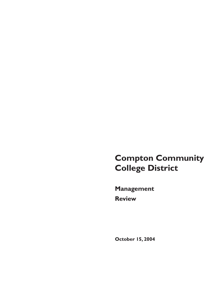# **Compton Community College District**

**Management Review**

**October 15, 2004**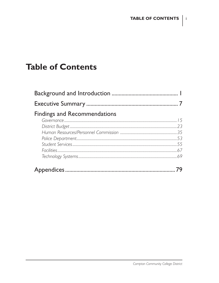# **Table of Contents**

| <b>Findings and Recommendations</b> |    |
|-------------------------------------|----|
|                                     |    |
|                                     |    |
|                                     |    |
|                                     |    |
|                                     |    |
|                                     |    |
|                                     |    |
|                                     | 79 |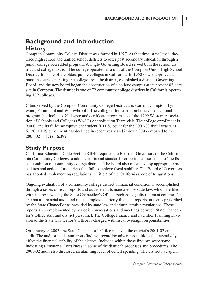# **Background and Introduction History**

Compton Community College District was formed in 1927. At that time, state law authorized high school and unified school districts to offer post secondary education through a junior college accredited program. A single Governing Board served both the school district and college district. The college operated as a unit of the Compton Union High School District. It is one of the oldest public colleges in California. In 1950 voters approved a bond measure separating the college from the district, established a distinct Governing Board, and the new board began the construction of a college campus at its present 83-acre site in Compton. The district is one of 72 community college districts in California operating 109 colleges.

Cities served by the Compton Community College District are: Carson, Compton, Lynwood, Paramount and Willowbrook. The college offers a comprehensive educational program that includes 79 degree and certificate programs as of the 1999 Western Association of Schools and Colleges (WASC) Accreditation Team visit. The college enrollment is 9,000, and its full-time equivalent student (FTES) count for the 2002-03 fiscal year was 6,120. FTES enrollment has declined in recent years and is down 279 compared to the 2001-02 FTES of 6,399.

#### **Study Purpose**

California Education Code Section 84040 requires the Board of Governors of the California Community Colleges to adopt criteria and standards for periodic assessment of the fiscal condition of community college districts. The board also must develop appropriate procedures and actions for districts that fail to achieve fiscal stability. The Board of Governors has adopted implementing regulations in Title 5 of the California Code of Regulations.

Ongoing evaluation of a community college district's financial condition is accomplished through a series of fiscal reports and outside audits mandated by state law, which are filed with and reviewed by the State Chancellor's Office. Each college district must contract for an annual financial audit and must complete quarterly financial reports on forms prescribed by the State Chancellor as provided by state law and administrative regulations. These reports are complemented by periodic conversations and meetings between State Chancellor's Office staff and district personnel. The College Finance and Facilities Planning Division of the State Chancellor's Office is charged with fiscal oversight responsibilities.

On January 9, 2003, the State Chancellor's Office received the district's 2001-02 annual audit. The auditor made numerous findings regarding adverse conditions that negatively affect the financial stability of the district. Included within those findings were some indicating a "material" weakness in some of the district's processes and procedures. The 2001-02 audit also disclosed an alarming level of deficit spending. The district had spent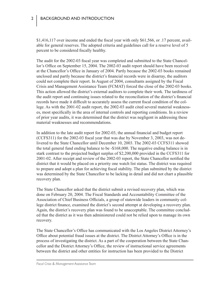#### 2 | BACKGROUND AND INTRODUCTION

\$1,416,117 over income and ended the fiscal year with only \$61,566, or .17 percent, available for general reserves. The adopted criteria and guidelines call for a reserve level of 5 percent to be considered fiscally healthy.

The audit for the 2002-03 fiscal year was completed and submitted to the State Chancellor's Office on September 15, 2004. The 2002-03 audit report should have been received at the Chancellor's Office in January of 2004. Partly because the 2002-03 books remained unclosed and partly because the district's financial records were in disarray, the auditors could not complete their report. In August of 2004, consultants assigned by the Fiscal Crisis and Management Assistance Team (FCMAT) forced the close of the 2002-03 books. This action allowed the district's external auditors to complete their work. The tardiness of the audit report and continuing issues related to the reconciliation of the district's financial records have made it difficult to accurately assess the current fiscal condition of the college. As with the 2001-02 audit report, the 2002-03 audit cited several material weaknesses, most specifically in the area of internal controls and reporting conditions. In a review of prior year audits, it was determined that the district was negligent in addressing these material weaknesses and recommendations.

In addition to the late audit report for 2002-03, the annual financial and budget report (CCFS311) for the 2002-03 fiscal year that was due by November 3, 2003, was not delivered to the State Chancellor until December 10, 2003. The 2002-03 CCFS311 showed the total general fund ending balance to be -\$168,000. The negative ending balance is in stark contrast to the projected budget surplus of \$2,200,000 provided in the CCFS311 for 2001-02. After receipt and review of the 2002-03 report, the State Chancellor notified the district that it would be placed on a priority one watch list status. The district was required to prepare and adopt a plan for achieving fiscal stability. The plan submitted by the district was determined by the State Chancellor to be lacking in detail and did not chart a plausible recovery plan.

The State Chancellor asked that the district submit a revised recovery plan, which was done on February 20, 2004. The Fiscal Standards and Accountability Committee of the Association of Chief Business Officials, a group of statewide leaders in community college district finance, examined the district's second attempt at developing a recovery plan. Again, the district's recovery plan was found to be unacceptable. The committee concluded that the district as it was then administered could not be relied upon to manage its own recovery.

The State Chancellor's Office has communicated with the Los Angeles District Attorney's Office about potential fraud issues at the district. The District Attorney's Office is in the process of investigating the district. As a part of the cooperation between the State Chancellor and the District Attorney's Office, the review of instructional service agreements between the district and other entities for instruction has been provided to the District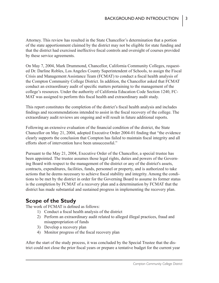Attorney. This review has resulted in the State Chancellor's determination that a portion of the state apportionment claimed by the district may not be eligible for state funding and that the district had exercised ineffective fiscal controls and oversight of courses provided by these service agreements.

On May 7, 2004, Mark Drummond, Chancellor, California Community Colleges, requested Dr. Darline Robles, Los Angeles County Superintendent of Schools, to assign the Fiscal Crisis and Management Assistance Team (FCMAT) to conduct a fiscal health analysis of the Compton Community College District. In addition, the Chancellor asked that FCMAT conduct an extraordinary audit of specific matters pertaining to the management of the college's resources. Under the authority of California Education Code Section 1240, FC-MAT was assigned to perform this fiscal health and extraordinary audit study.

This report constitutes the completion of the district's fiscal health analysis and includes findings and recommendations intended to assist in the fiscal recovery of the college. The extraordinary audit reviews are ongoing and will result in future additional reports.

Following an extensive evaluation of the financial condition of the district, the State Chancellor on May 21, 2004, adopted Executive Order 2004-01 finding that "the evidence clearly supports the conclusion that Compton has failed to maintain fiscal integrity and all efforts short of intervention have been unsuccessful."

Pursuant to the May 21, 2004, Executive Order of the Chancellor, a special trustee has been appointed. The trustee assumes those legal rights, duties and powers of the Governing Board with respect to the management of the district or any of the district's assets, contracts, expenditures, facilities, funds, personnel or property, and is authorized to take actions that he deems necessary to achieve fiscal stability and integrity. Among the conditions to be met by the district in order for the Governing Board to assume its former status is the completion by FCMAT of a recovery plan and a determination by FCMAT that the district has made substantial and sustained progress in implementing the recovery plan.

### **Scope of the Study**

The work of FCMAT is defined as follows:

- 1) Conduct a fiscal health analysis of the district
- 2) Perform an extraordinary audit related to alleged illegal practices, fraud and misappropriation of funds
- 3) Develop a recovery plan
- 4) Monitor progress of the fiscal recovery plan

After the start of the study process, it was concluded by the Special Trustee that the district could not close the prior fiscal years or prepare a tentative budget for the current year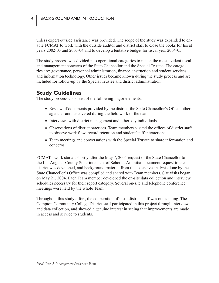#### 4 | BACKGROUND AND INTRODUCTION

unless expert outside assistance was provided. The scope of the study was expanded to enable FCMAT to work with the outside auditor and district staff to close the books for fiscal years 2002-03 and 2003-04 and to develop a tentative budget for fiscal year 2004-05.

The study process was divided into operational categories to match the most evident fiscal and management concerns of the State Chancellor and the Special Trustee. The categories are: governance, personnel administration, finance, instruction and student services, and information technology. Other issues became known during the study process and are included for follow-up by the Special Trustee and district administration.

### **Study Guidelines**

The study process consisted of the following major elements:

- Review of documents provided by the district, the State Chancellor's Office, other agencies and discovered during the field work of the team.
- Interviews with district management and other key individuals.
- Observations of district practices. Team members visited the offices of district staff to observe work flow, record retention and student/staff interactions.
- Team meetings and conversations with the Special Trustee to share information and concerns.

FCMAT's work started shortly after the May 7, 2004 request of the State Chancellor to the Los Angeles County Superintendent of Schools. An initial document request to the district was developed, and background material from the extensive analysis done by the State Chancellor's Office was compiled and shared with Team members. Site visits began on May 21, 2004. Each Team member developed the on-site data collection and interview schedules necessary for their report category. Several on-site and telephone conference meetings were held by the whole Team.

Throughout this study effort, the cooperation of most district staff was outstanding. The Compton Community College District staff participated in this project through interviews and data collection, and showed a genuine interest in seeing that improvements are made in access and service to students.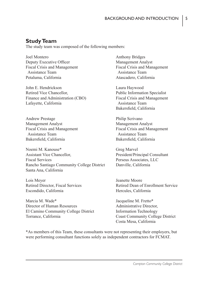### **Study Team**

The study team was composed of the following members:

Joel Montero Anthony Bridges Deputy Executive Officer Management Analyst Fiscal Crisis and Management Fiscal Crisis and Management Assistance Team Assistance Team Petaluma, California **Atascadero, California** 

John E. Hendrickson Laura Haywood Retired Vice Chancellor, Public Information Specialist Finance and Administration (CBO) Fiscal Crisis and Management Lafayette, California **Assistance** Team

Andrew Prestage Philip Scrivano Management Analyst Management Analyst Assistance Team Assistance Team Bakersfield, California Bakersfield, California

Noemi M. Kanouse\* Greg Marvel Assistant Vice Chancellor, President/Principal Consultant Fiscal Services Perseus Associates, LLC Rancho Santiago Community College District Danville, California Santa Ana, California

Lois Meyer Jeanette Moore Escondido, California Hercules, California

Marcia M. Wade\* Jacqueline M. Fretto\* Director of Human Resources Administrative Director, El Camino Community College District Information Technology Torrance, California Coast Community College District

Bakersfield, California

Fiscal Crisis and Management Fiscal Crisis and Management

Retired Director, Fiscal Services Retired Dean of Enrollment Service

Costa Mesa, California

\*As members of this Team, these consultants were not representing their employers, but were performing consultant functions solely as independent contractors for FCMAT.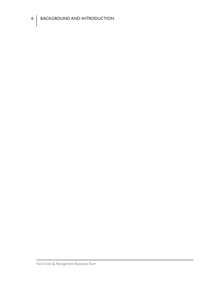6 | BACKGROUND AND INTRODUCTION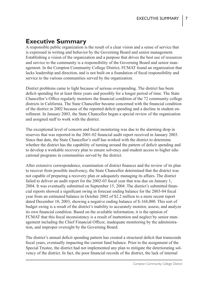# **Executive Summary**

A responsible public organization is the result of a clear vision and a sense of service that is expressed in writing and behavior by the Governing Board and senior management. Establishing a vision of the organization and a purpose that drives the best use of resources and service to the community is a responsibility of the Governing Board and senior management. In the Compton Community College District, FCMAT found an organization that lacks leadership and direction, and is not built on a foundation of fiscal responsibility and service to the various communities served by the organization.

District problems came to light because of serious overspending. The district has been deficit spending for at least three years and possibly for a longer period of time. The State Chancellor's Office regularly monitors the financial condition of the 72 community college districts in California. The State Chancellor became concerned with the financial condition of the district in 2002 because of the reported deficit spending and a decline in student enrollment. In January 2003, the State Chancellor began a special review of the organization and assigned staff to work with the district.

The exceptional level of concern and fiscal monitoring was due to the alarming drop in reserves that was reported in the 2001-02 financial audit report received in January 2003. Since that date, the State Chancellor's staff has worked with the district to determine whether the district has the capability of turning around the pattern of deficit spending and to develop a workable recovery plan to ensure solvency and student access to higher educational programs in communities served by the district.

After extensive correspondence, examination of district finances and the review of its plan to recover from possible insolvency, the State Chancellor determined that the district was not capable of preparing a recovery plan or adequately managing its affairs. The district failed to deliver an audit report for the 2002-03 fiscal year that was due on January 1, 2004. It was eventually submitted on September 15, 2004. The district's submitted financial reports showed a significant swing in forecast ending balance for the 2003-04 fiscal year from an estimated balance in October 2002 of \$2.2 million to a more recent report dated December 10, 2003, showing a negative ending balance of \$-168,000. This sort of budget swing is a result of the district's inability to accurately monitor, assess, and analyze its own financial condition. Based on the available information, it is the opinion of FCMAT that this fiscal inconsistency is a result of inattention and neglect by senior management including the Chief Financial Officer, inadequate monitoring by the administration, and improper oversight by the Governing Board.

The district's annual deficit spending pattern has created a structural deficit that transcends fiscal years, eventually impacting the current fund balance. Prior to the assignment of the Special Trustee, the district had not implemented any plan to mitigate the deteriorating solvency of the district. In fact, the poor financial records of the district, the lack of internal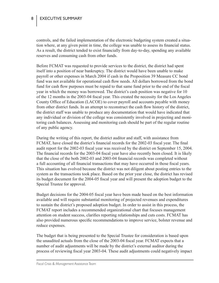controls, and the failed implementation of the electronic budgeting system created a situation where, at any given point in time, the college was unable to assess its financial status. As a result, the district tended to exist financially from day-to-day, spending any available reserves and consuming cash from other funds.

Before FCMAT was requested to provide services to the district, the district had spent itself into a position of near bankruptcy. The district would have been unable to make payroll or other expenses in March 2004 if cash in the Proposition 39 Measure CC bond fund was not available for operational cash flow needs. All dollars borrowed from the bond fund for cash flow purposes must be repaid to that same fund prior to the end of the fiscal year in which the money was borrowed. The district's cash position was negative for 10 of the 12 months in the 2003-04 fiscal year. This created the necessity for the Los Angeles County Office of Education (LACOE) to cover payroll and accounts payable with money from other district funds. In an attempt to reconstruct the cash flow history of the district, the district staff was unable to produce any documentation that would have indicated that any individual or division of the college was consistently involved in projecting and monitoring cash balances. Assessing and monitoring cash should be part of the regular routine of any public agency.

During the writing of this report, the district auditor and staff, with assistance from FCMAT, have closed the district's financial records for the 2002-03 fiscal year. The final audit report for the 2002-03 fiscal year was received by the district on September 15, 2004. The financial records for the 2003-04 fiscal year have also recently been closed. It is likely that the close of the both 2002-03 and 2003-04 financial records was completed without a full accounting of all financial transactions that may have occurred in those fiscal years. This situation has evolved because the district was not diligent about posting entries to the system as the transactions took place. Based on the prior year close, the district has revised its budget document for the 2004-05 fiscal year and will present the adoption budget to the Special Trustee for approval.

Budget decisions for the 2004-05 fiscal year have been made based on the best information available and will require substantial monitoring of projected revenues and expenditures to sustain the district's proposed adoption budget. In order to assist in this process, the FCMAT report includes a recommended organizational chart that focuses management attention on student success, clarifies reporting relationships and cuts costs. FCMAT has also provided numerous specific recommendations to improve service, bolster revenue and reduce expenses.

The budget that is being presented to the Special Trustee for consideration is based upon the unaudited actuals from the close of the 2003-04 fiscal year. FCMAT expects that a number of audit adjustments will be made by the district's external auditor during the process of reviewing fiscal year 2003-04. These audit adjustments could negatively impact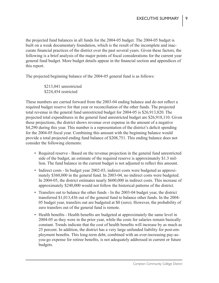the projected fund balances in all funds for the 2004-05 budget. The 2004-05 budget is built on a weak documentary foundation, which is the result of the incomplete and inaccurate financial practices of the district over the past several years. Given these factors, the following is a brief analysis of the major points of fiscal considerations for the current year general fund budget. More budget details appear in the financial section and appendices of this report.

The projected beginning balance of the 2004-05 general fund is as follows:

 \$213,041 unrestricted \$224,454 restricted

These numbers are carried forward from the 2003-04 ending balance and do not reflect a required budget reserve for that year or reconciliation of the other funds. The projected total revenue in the general fund unrestricted budget for 2004-05 is \$26,913,820. The projected total expenditures in the general fund unrestricted budget are \$26,918,110. Given these projections, the district shows revenue over expense in the amount of a negative \$4,290 during this year. This number is a representation of the district's deficit spending for the 2004-05 fiscal year. Combining this amount with the beginning balance would provide a total projected ending fund balance of \$208,751. This ending balance does not consider the following elements:

- Required reserve Based on the revenue projection in the general fund unrestricted side of the budget, an estimate of the required reserve is approximately \$1.3 million. The fund balance in the current budget is not adjusted to reflect this amount.
- Indirect costs In budget year 2002-03, indirect costs were budgeted as approximately \$360,000 in the general fund. In 2003-04, no indirect costs were budgeted. In 2004-05, the district estimates nearly \$600,000 in indirect costs. This increase of approximately \$240,000 would not follow the historical patterns of the district.
- Transfers out to balance the other funds In the 2003-04 budget year, the district transferred \$1,013,436 out of the general fund to balance other funds. In the 2004- 05 budget year, transfers out are budgeted at \$0 (zero). However, the probability of zero transfers out of the general fund is remote.
- Health benefits Health benefits are budgeted at approximately the same level in 2004-05 as they were in the prior year, while the costs for salaries remain basically constant. Trends indicate that the cost of health benefits will increase by as much as 25 percent. In addition, the district has a very large unfunded liability for post-employment benefits. This long-term debt, combined with an ever-increasing pay-asyou-go expense for retiree benefits, is not adequately addressed in current or future budgets.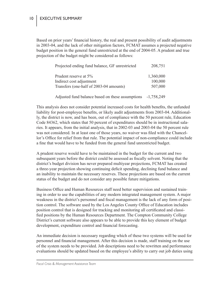Based on prior years' financial history, the real and present possibility of audit adjustments in 2003-04, and the lack of other mitigation factors, FCMAT assumes a projected negative budget position in the general fund unrestricted at the end of 2004-05. A prudent and true projection of the budget might be considered as follows:

| Projected ending fund balance, GF unrestricted | 208,751   |
|------------------------------------------------|-----------|
| Prudent reserve at 5%                          | 1,360,000 |
| Indirect cost adjustment                       | 100,000   |
| Transfers (one-half of 2003-04 amounts)        | 507,000   |

Adjusted fund balance based on these assumptions -1,758,249

This analysis does not consider potential increased costs for health benefits, the unfunded liability for post-employee benefits, or likely audit adjustments from 2003-04. Additionally, the district is now, and has been, out of compliance with the 50 percent rule, Education Code 84362, which states that 50 percent of expenditures should be in instructional salaries. It appears, from the initial analysis, that in 2002-03 and 2003-04 the 50 percent rule was not considered. In at least one of those years, no waiver was filed with the Chancellor's Office for relief from that rule. The potential impact of non-compliance could include a fine that would have to be funded from the general fund unrestricted budget.

A prudent reserve would have to be maintained in the budget for the current and two subsequent years before the district could be assessed as fiscally solvent. Noting that the district's budget division has never prepared multiyear projections, FCMAT has created a three-year projection showing continuing deficit spending, declining fund balance and an inability to maintain the necessary reserves. These projections are based on the current status of the budget and do not consider any possible future mitigations.

Business Office and Human Resources staff need better supervision and sustained training in order to use the capabilities of any modern integrated management system. A major weakness in the district's personnel and fiscal management is the lack of any form of position control. The software used by the Los Angeles County Office of Education includes position control that is designed for tracking and monitoring all certificated and classified positions by the Human Resources Department. The Compton Community College District's current software also appears to be able to provide this key element of budget development, expenditure control and financial forecasting.

An immediate decision is necessary regarding which of these two systems will be used for personnel and financial management. After this decision is made, staff training on the use of the system needs to be provided. Job descriptions need to be rewritten and performance evaluations should be updated based on the employee's ability to carry out job duties using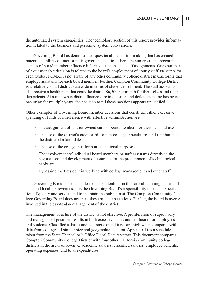the automated system capabilities. The technology section of this report provides information related to the business and personnel system conversions.

The Governing Board has demonstrated questionable decision-making that has created potential conflicts of interest in its governance duties. There are numerous and recent instances of board member influence in hiring decisions and staff assignments. One example of a questionable decision is related to the board's employment of hourly staff assistants for each trustee. FCMAT is not aware of any other community college district in California that employs assistants for each board member. Further, Compton Community College District is a relatively small district statewide in terms of student enrollment. The staff assistants also receive a health plan that costs the district \$6,500 per month for themselves and their dependents. At a time when district finances are in question and deficit spending has been occurring for multiple years, the decision to fill these positions appears unjustified.

Other examples of Governing Board member decisions that constitute either excessive spending of funds or interference with effective administration are:

- The assignment of district-owned cars to board members for their personal use
- The use of the district's credit card for non-college expenditures and reimbursing the district at a later date
- The use of the college bus for non-educational purposes
- The involvement of individual board members or staff assistants directly in the negotiations and development of contracts for the procurement of technological hardware
- Bypassing the President in working with college management and other staff

The Governing Board is expected to focus its attention on the careful planning and use of state and local tax revenues. It is the Governing Board's responsibility to set an expectation of quality and service and to maintain the public trust. The Compton Community College Governing Board does not meet these basic expectations. Further, the board is overly involved in the day-to-day management of the district.

The management structure of the district is not effective. A proliferation of supervisory and management positions results in both excessive costs and confusion for employees and students. Classified salaries and contract expenditures are high when compared with data from colleges of similar size and geographic location. Appendix D is a schedule taken from the State Chancellor's Office Fiscal Data Abstract. This document compares Compton Community College District with four other California community college districts in the areas of revenue, academic salaries, classified salaries, employee benefits, operating expenses, and total expenditures.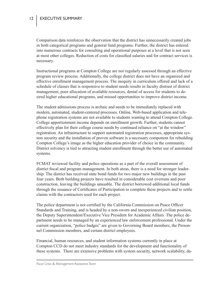Comparison data reinforces the observation that the district has unnecessarily created jobs in both categorical programs and general fund programs. Further, the district has entered into numerous contracts for consulting and operational purposes at a level that is not seen at most other colleges. Reduction of costs for classified salaries and for contract services is necessary.

Instructional programs at Compton College are not regularly assessed through an effective program review process. Additionally, the college district does not have an organized and effective enrollment management process. The inequity in curriculum offered and lack of a schedule of classes that is responsive to student needs results in faculty distrust of district management, poor allocation of available resources, denial of access for students to desired higher educational programs, and missed opportunities to improve district income.

The student admissions process is archaic and needs to be immediately replaced with modern, automated, student-centered processes. Online, Web-based application and telephone registration systems are not available to students wanting to attend Compton College. College apportionment income depends on enrollment growth. Further, students cannot effectively plan for their college course needs by continued reliance on "at the window" registration. An infrastructure to support automated registration processes, appropriate system security and the installation of proven software is a necessary component for rebuilding Compton College's image as the higher education provider of choice in the community. District solvency is tied to attracting student enrollment through the better use of automated systems.

FCMAT reviewed facility and police operations as a part of the overall assessment of district fiscal and program management. In both areas, there is a need for stronger leadership. The district has received state bond funds for two major new buildings in the past four years. Both building projects have resulted in considerable cost overruns and poor construction, leaving the buildings unusable. The district borrowed additional local funds through the issuance of Certificates of Participation to complete these projects and to settle claims with the contractors used for each project.

The police department is not certified by the California Commission on Peace Officer Standards and Training, and is headed by a non-sworn and inexperienced civilian position, the Deputy Superintendent/Executive Vice President for Academic Affairs. The police department needs to be managed by an experienced law enforcement professional. Under the current organization, "police badges" are given to Governing Board members, the Personnel Commission members, and certain district employees.

Financial, human resources, and student information systems currently in place at Compton CCD do not meet industry standards for the development and functionality of these systems. There are extensive problems with system security, network scalability, da-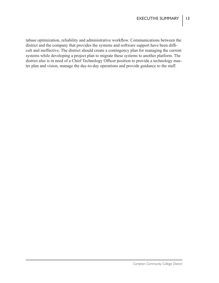tabase optimization, reliability and administrative workflow. Communications between the district and the company that provides the systems and software support have been difficult and ineffective. The district should create a contingency plan for managing the current systems while developing a project plan to migrate these systems to another platform. The district also is in need of a Chief Technology Officer position to provide a technology master plan and vision, manage the day-to-day operations and provide guidance to the staff.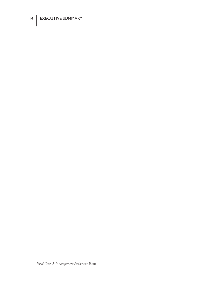### 14 | EXECUTIVE SUMMARY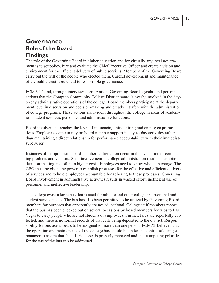# **Governance Role of the Board Findings**

The role of the Governing Board in higher education and for virtually any local government is to set policy, hire and evaluate the Chief Executive Officer and create a vision and environment for the efficient delivery of public services. Members of the Governing Board carry out the will of the people who elected them. Careful development and maintenance of the public trust is essential to responsible governance.

FCMAT found, through interviews, observation, Governing Board agendas and personnel actions that the Compton Community College District board is overly involved in the dayto-day administrative operations of the college. Board members participate at the department level in discussion and decision-making and greatly interfere with the administration of college programs. These actions are evident throughout the college in areas of academics, student services, personnel and administrative functions.

Board involvement reaches the level of influencing initial hiring and employee promotions. Employees come to rely on board member support in day-to-day activities rather than maintaining a direct relationship for performance accountability with their immediate supervisor.

Instances of inappropriate board member participation occur in the evaluation of competing products and vendors. Such involvement in college administration results in chaotic decision-making and often in higher costs. Employees need to know who is in charge. The CEO must be given the power to establish processes for the effective and efficient delivery of services and to hold employees accountable for adhering to these processes. Governing Board involvement in administrative activities results in wasted effort, inefficient use of personnel and ineffective leadership.

The college owns a large bus that is used for athletic and other college instructional and student service needs. The bus has also been permitted to be utilized by Governing Board members for purposes that apparently are not educational. College staff members report that the bus has been checked out on several occasions by board members for trips to Las Vegas to carry people who are not students or employees. Further, fares are reportedly collected, and there is no formal records of that cash being deposited to the district. Responsibility for bus use appears to be assigned to more than one person. FCMAT believes that the operation and maintenance of the college bus should be under the control of a single manager to assure that this district asset is properly managed and that competing priorities for the use of the bus can be addressed.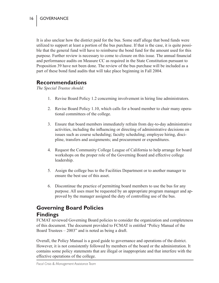It is also unclear how the district paid for the bus. Some staff allege that bond funds were utilized to support at least a portion of the bus purchase. If that is the case, it is quite possible that the general fund will have to reimburse the bond fund for the amount used for this purpose. Further review is necessary to come to closure on this issue. The annual financial and performance audits on Measure CC as required in the State Constitution pursuant to Proposition 39 have not been done. The review of the bus purchase will be included as a part of these bond fund audits that will take place beginning in Fall 2004.

### **Recommendations**

*The Special Trustee should:*

- 1. Revise Board Policy 1.2 concerning involvement in hiring line administrators.
- 2. Revise Board Policy 1.10, which calls for a board member to chair many operational committees of the college.
- 3. Ensure that board members immediately refrain from day-to-day administrative activities, including the influencing or directing of administrative decisions on issues such as course scheduling; faculty scheduling; employee hiring, discipline, transfers and assignments; and procurement or expenditures.
- 4. Request the Community College League of California to help arrange for board workshops on the proper role of the Governing Board and effective college leadership.
- 5. Assign the college bus to the Facilities Department or to another manager to ensure the best use of this asset.
- 6. Discontinue the practice of permitting board members to use the bus for any purpose. All uses must be requested by an appropriate program manager and approved by the manager assigned the duty of controlling use of the bus.

# **Governing Board Policies Findings**

FCMAT reviewed Governing Board policies to consider the organization and completeness of this document. The document provided to FCMAT is entitled "Policy Manual of the Board Trustees – 2003" and is noted as being a draft.

Overall, the Policy Manual is a good guide to governance and operations of the district. However, it is not consistently followed by members of the board or the administration. It contains some policy statements that are illegal or inappropriate and that interfere with the effective operations of the college.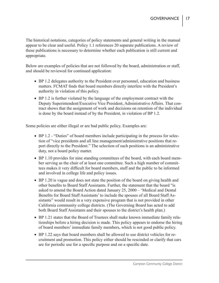The historical notations, categories of policy statements and general writing in the manual appear to be clear and useful. Policy 1.1 references 20 separate publications. A review of these publications is necessary to determine whether each publication is still current and appropriate.

Below are examples of policies that are not followed by the board, administration or staff, and should be reviewed for continued application:

- BP 1.2 delegates authority to the President over personnel, education and business matters. FCMAT finds that board members directly interfere with the President's authority in violation of this policy.
- BP 1.2 is further violated by the language of the employment contract with the Deputy Superintendent/Executive Vice President, Administrative Affairs. That contract shows that the assignment of work and decisions on retention of the individual is done by the board instead of by the President, in violation of BP 1.2.

Some policies are either illegal or are bad public policy. Examples are:

- BP 1.2 "Duties" of board members include participating in the process for selection of "vice presidents and all line management/administrative positions that report directly to the President." The selection of such positions is an administrative duty, not a board policy matter.
- BP 1.10 provides for nine standing committees of the board, with each board member serving as the chair of at least one committee. Such a high number of committees makes it very difficult for board members, staff and the public to be informed and involved in college life and policy issues.
- BP 1.20 is vague and does not state the position of the board on giving health and other benefits to Board Staff Assistants. Further, the statement that the board "is asked to amend the Board Action dated January 25, 2000 – 'Medical and Dental Benefits for Board Staff Assistants' to include the spouses of all Board Staff Assistants" would result in a very expensive program that is not provided in other California community college districts. (The Governing Board has acted to add both Board Staff Assistants and their spouses to the district's health plan.)
- BP 1.21 states that the Board of Trustees shall make known immediate family relationships before a hiring decision is made. This policy appears to endorse the hiring of board members' immediate family members, which is not good public policy.
- BP 1.22 says that board members shall be allowed to use district vehicles for recruitment and promotion. This policy either should be rescinded or clarify that cars are for periodic use for a specific purpose and on a specific date.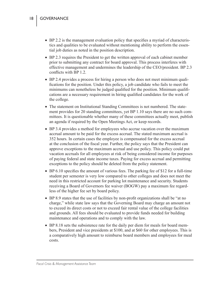- BP 2.2 is the management evaluation policy that specifies a myriad of characteristics and qualities to be evaluated without mentioning ability to perform the essential job duties as noted in the position description.
- BP 2.3 requires the President to get the written approval of each cabinet member prior to submitting any contract for board approval. This process interferes with effective management and undermines the leadership of the CEO/president. BP 2.3 conflicts with BP 1.2.
- BP 2.4 provides a process for hiring a person who does not meet minimum qualifications for the position. Under this policy, a job candidate who fails to meet the minimums can nonetheless be judged qualified for the position. Minimum qualifications are a necessary requirement in hiring qualified candidates for the work of the college.
- The statement on Institutional Standing Committees is not numbered. The statement provides for 20 standing committees, yet BP 1.10 says there are no such committees. It is questionable whether many of these committees actually meet, publish an agenda if required by the Open Meetings Act, or keep records.
- BP 3.4 provides a method for employees who accrue vacation over the maximum accrual amount to be paid for the excess accrual. The stated maximum accrual is 352 hours. In certain cases the employee is compensated for the excess accrual at the conclusion of the fiscal year. Further, the policy says that the President can approve exceptions to the maximum accrual and use policy. This policy could put vacation accruals for all employees at risk of being considered income for purposes of paying federal and state income taxes. Paying for excess accrual and permitting exceptions to the policy should be deleted from the policy statement.
- BP 6.10 specifies the amount of various fees. The parking fee of \$12 for a full-time student per semester is very low compared to other colleges and does not meet the need in this restricted account for parking lot maintenance and security. Students receiving a Board of Governors fee waiver (BOGW) pay a maximum fee regardless of the higher fee set by board policy.
- BP 8.9 states that the use of facilities by non-profit organizations shall be "at no charge," while state law says that the Governing Board may charge an amount not to exceed its direct costs or not to exceed fair rental value of the college facilities and grounds. All fees should be evaluated to provide funds needed for building maintenance and operations and to comply with the law.
- BP 8.18 sets the subsistence rate for the daily per diem for meals for board members, President and vice presidents at \$100, and at \$60 for other employees. This is a comparatively high amount to reimburse board members and employees for meal costs.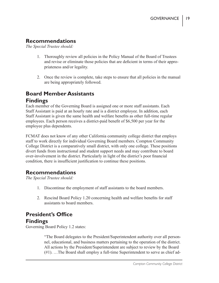### **Recommendations**

*The Special Trustee should:*

- 1. Thoroughly review all policies in the Policy Manual of the Board of Trustees and revise or eliminate those policies that are deficient in terms of their appropriateness and/or legality.
- 2. Once the review is complete, take steps to ensure that all policies in the manual are being appropriately followed.

# **Board Member Assistants**

### **Findings**

Each member of the Governing Board is assigned one or more staff assistants. Each Staff Assistant is paid at an hourly rate and is a district employee. In addition, each Staff Assistant is given the same health and welfare benefits as other full-time regular employees. Each person receives a district-paid benefit of \$6,500 per year for the employee plus dependents.

FCMAT does not know of any other California community college district that employs staff to work directly for individual Governing Board members. Compton Community College District is a comparatively small district, with only one college. These positions divert funds from instructional and student support needs and may contribute to board over-involvement in the district. Particularly in light of the district's poor financial condition, there is insufficient justification to continue these positions.

### **Recommendations**

*The Special Trustee should:*

- 1. Discontinue the employment of staff assistants to the board members.
- 2. Rescind Board Policy 1.20 concerning health and welfare benefits for staff assistants to board members.

# **President's Office**

### **Findings**

Governing Board Policy 1.2 states:

 "The Board delegates to the President/Superintendent authority over all personnel, educational, and business matters pertaining to the operation of the district. All actions by the President/Superintendent are subject to review by the Board (#1). …The Board shall employ a full-time Superintendent to serve as chief ad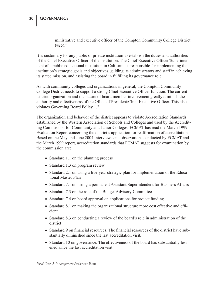ministrative and executive officer of the Compton Community College District  $(\#25)$ ."

It is customary for any public or private institution to establish the duties and authorities of the Chief Executive Officer of the institution. The Chief Executive Officer/Superintendent of a public educational institution in California is responsible for implementing the institution's strategic goals and objectives, guiding its administrators and staff in achieving its stated mission, and assisting the board in fulfilling its governance role.

As with community colleges and organizations in general, the Compton Community College District needs to support a strong Chief Executive Officer function. The current district organization and the nature of board member involvement greatly diminish the authority and effectiveness of the Office of President/Chief Executive Officer. This also violates Governing Board Policy 1.2.

The organization and behavior of the district appears to violate Accreditation Standards established by the Western Association of Schools and Colleges and used by the Accrediting Commission for Community and Junior Colleges. FCMAT has read the March 1999 Evaluation Report concerning the district's application for reaffirmation of accreditation. Based on the May and June 2004 interviews and observations conducted by FCMAT and the March 1999 report, accreditation standards that FCMAT suggests for examination by the commission are:

- Standard 1.1 on the planning process
- Standard 1.3 on program review
- Standard 2.1 on using a five-year strategic plan for implementation of the Educational Master Plan
- Standard 7.1 on hiring a permanent Assistant Superintendent for Business Affairs
- Standard 7.3 on the role of the Budget Advisory Committee
- Standard 7.4 on board approval on applications for project funding
- Standard 8.1 on making the organizational structure more cost effective and efficient
- Standard 8.3 on conducting a review of the board's role in administration of the district
- Standard 9 on financial resources. The financial resources of the district have substantially diminished since the last accreditation visit.
- Standard 10 on governance. The effectiveness of the board has substantially lessened since the last accreditation visit.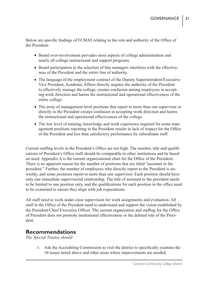Below are specific findings of FCMAT relating to the role and authority of the Office of the President:

- Board over-involvement pervades most aspects of college administration and nearly all college instructional and support programs.
- Board participation in the selection of line managers interferes with the effectiveness of the President and the entire line of authority.
- The language of the employment contract of the Deputy Superintendent/Executive Vice President, Academic Affairs directly negates the authority of the President to effectively manage the college, creates confusion among employees in accepting work direction and harms the instructional and operational effectiveness of the entire college.
- The array of management level positions that report to more than one supervisor or directly to the President creates confusion in accepting work direction and harms the instructional and operational effectiveness of the college.
- The low level of training, knowledge and work experience required for some management positions reporting to the President results in lack of respect for the Office of the President and less than satisfactory performance by subordinate staff.

Current staffing levels in the President's Office are too high. The number, title and qualifications of President's Office staff should be comparable to other institutions and be based on need. Appendix A is the current organizational chart for the Office of the President. There is no apparent reason for the number of positions that are titled "assistant to the president." Further, the number of employees who directly report to the President is unwieldy, and some positions report to more than one supervisor. Each position should have only one immediate supervisorial relationship. The title of assistant to the president needs to be limited to one position only, and the qualifications for each position in the office need to be examined to ensure they align with job expectations.

All staff need to work under clear supervision for work assignments and evaluation. All staff in the Office of the President need to understand and support the vision established by the President/Chief Executive Officer. The current organization and staffing for the Office of President does not promote institutional effectiveness or the defined role of the President.

### **Recommendations**

*The Special Trustee should:*

1. Ask the Accrediting Commission to visit the district to specifically examine the 10 issues noted above and other areas where improvements are needed.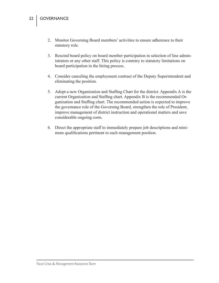#### 22 | GOVERNANCE

- 2. Monitor Governing Board members' activities to ensure adherence to their statutory role.
- 3. Rescind board policy on board member participation in selection of line administrators or any other staff. This policy is contrary to statutory limitations on board participation in the hiring process.
- 4. Consider canceling the employment contract of the Deputy Superintendent and eliminating the position.
- 5. Adopt a new Organization and Staffing Chart for the district. Appendix A is the current Organization and Staffing chart. Appendix B is the recommended Organization and Staffing chart. The recommended action is expected to improve the governance role of the Governing Board, strengthen the role of President, improve management of district instruction and operational matters and save considerable ongoing costs.
- 6. Direct the appropriate staff to immediately prepare job descriptions and minimum qualifications pertinent to each management position.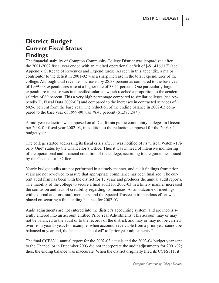# **District Budget Current Fiscal Status Findings**

The financial stability of Compton Community College District was jeopardized after the 2001-2002 fiscal year ended with an audited operational deficit of [-\$1,416,117] (see Appendix C, Recap of Revenues and Expenditures). As seen in this appendix, a major contributor to the deficit in 2001-02 was a sharp increase in the total expenditures of the college. Although total revenues increased by 28.38 percent as compared to the base year of 1999-00, expenditures rose at a higher rate of 33.11 percent. One particularly large expenditure increase was in classified salaries, which reached a proportion to the academic salaries of 89 percent. This a very high percentage compared to similar colleges (see Appendix D, Fiscal Data 2002-03) and compared to the increases in contracted services of 50.96 percent from the base year. The reduction of the ending balance in 2002-03 compared to the base year of 1999-00 was 78.43 percent (\$1,383,247 ).

A mid-year reduction was imposed on all California public community colleges in December 2002 for fiscal year 2002-03, in addition to the reductions imposed for the 2003-04 budget year.

The college started addressing its fiscal crisis after it was notified of its "Fiscal Watch - Priority One" status by the Chancellor's Office. Thus it was in need of intensive monitoring of the operational and financial condition of the college, according to the guidelines issued by the Chancellor's Office.

Yearly budget audits are not performed in a timely manner, and audit findings from prior years are not reviewed to assure that appropriate compliance has been finalized. The current audit firm has been with the district for 17 years and produces the annual audit reports. The inability of the college to secure a final audit for 2002-03 in a timely manner increased the confusion and lack of credibility regarding its finances. As an outcome of meetings with external auditors, staff members, and the Special Trustee, a tremendous effort was placed on securing a final ending balance for 2002-03.

Audit adjustments are not entered into the district's accounting system, and are inconsistently entered into an account entitled Prior Year Adjustments. This account may or may not be balanced to the audit or to the records of the district, and may or may not be carried over from year to year. For example, when accounts receivable from a prior year cannot be balanced at year end, the balance is "booked" to "prior year adjustments."

The final CCFS311 annual report for the 2002-03 actuals and the 2003-04 budget year sent to the Chancellor in December 2003 did not incorporate the audit adjustments for 2001-02; thus, the ending balance was inaccurate. When the district originally filed its CCFS311, it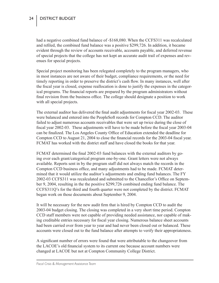had a negative combined fund balance of -\$168,080. When the CCFS311 was recalculated and refiled, the combined fund balance was a positive \$299,726. In addition, it became evident through the review of accounts receivable, accounts payable, and deferred revenue of special projects that the college has not kept an accurate audit trail of expenses and revenues for special projects.

Special project monitoring has been relegated completely to the program managers, who in most instances are not aware of their budget, compliance requirements, or the need for timely reporting in order to preserve the district's cash flow. In many instances, well after the fiscal year is closed, expense reallocation is done to justify the expenses in the categorical programs. The financial reports are prepared by the program administrators without final revision from the business office. The college should designate a position to work with all special projects.

The external auditor has delivered the final audit adjustments for fiscal year 2002-03. These were balanced and entered into the PeopleSoft records for Compton CCD. The auditor failed to adjust numerous accounts receivables that were set up twice during the close of fiscal year 2002-03. These adjustments will have to be made before the fiscal year 2003-04 can be finalized. The Los Angeles County Office of Education extended the deadline for Compton CCD to August 21, 2004 to close the financial records for the 2003-04 fiscal year. FCMAT has worked with the district staff and have closed the books for that year.

FCMAT determined the final 2002-03 fund balances with the external auditors by going over each grant/categorical program one-by-one. Grant letters were not always available. Reports sent in by the program staff did not always match the records in the Compton CCD business office, and many adjustments had to be made. FCMAT determined that it would utilize the auditor's adjustments and ending fund balances. The FY 2002-03 CCFS311 was recalculated and submitted to the Chancellor's Office on September 9, 2004, resulting in the the positive \$299,726 combined ending fund balance. The CCFS311Q's for the third and fourth quarter were not completed by the district. FCMAT began work on those documents about September 9, 2004.

It will be necessary for the new audit firm that is hired by Compton CCD to audit the 2003-04 budget closing. The closing was completed in a very short time period. Compton CCD staff members were not capable of providing needed assistance, nor capable of making creditable entries necessary for fiscal year closing. Numerous balance sheet accounts had been carried over from year to year and had never been closed out or balanced. These accounts were closed out to the fund balance after attempts to verify their appropriateness.

A significant number of errors were found that were attributable to the changeover from the LACOE's old financial system to its current one because account numbers were changed at LACOE but not at Compton Community College District.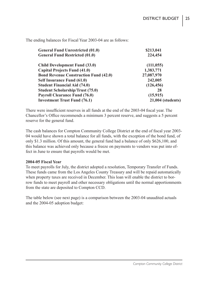The ending balances for Fiscal Year 2003-04 are as follows:

| <b>General Fund Unrestricted (01.0)</b>      | \$213,041                |
|----------------------------------------------|--------------------------|
| <b>General Fund Restricted (01.0)</b>        | 224,454                  |
| <b>Child Development Fund (33.0)</b>         | (111, 055)               |
| <b>Capital Projects Fund (41.0)</b>          | 1,383,771                |
| <b>Bond Revenue Construction Fund (42.0)</b> | 27,087,970               |
| <b>Self Insurance Fund (61.0)</b>            | 242,005                  |
| <b>Student Financial Aid (74.0)</b>          | (126, 456)               |
| <b>Student Scholarship/Trust (75.0)</b>      | 28                       |
| <b>Payroll Clearance Fund (76.0)</b>         | (15,915)                 |
| <b>Investment Trust Fund (76.1)</b>          | <b>21,004 (students)</b> |

There were insufficient reserves in all funds at the end of the 2003-04 fiscal year. The Chancellor's Office recommends a minimum 3 percent reserve, and suggests a 5 percent reserve for the general fund.

The cash balances for Compton Community College District at the end of fiscal year 2003- 04 would have shown a total balance for all funds, with the exception of the bond fund, of only \$1.3 million. Of this amount, the general fund had a balance of only \$626,100, and this balance was achieved only because a freeze on payments to vendors was put into effect in June to ensure that payrolls would be met.

#### **2004-05 Fiscal Year**

To meet payrolls for July, the district adopted a resolution, Temporary Transfer of Funds. These funds came from the Los Angeles County Treasury and will be repaid automatically when property taxes are received in December. This loan will enable the district to borrow funds to meet payroll and other necessary obligations until the normal apportionments from the state are deposited to Compton CCD.

The table below (see next page) is a comparison between the 2003-04 unaudited actuals and the 2004-05 adoption budget: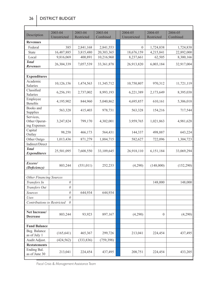| Description<br>Combined<br>Combined<br>Unrestricted<br>Restricted<br>Unrestricted<br>Restricted<br><b>Revenues</b><br>385<br>2,841,168<br>2,841,553<br>1,724,838<br>1,724,838<br>Federal<br>$\boldsymbol{0}$<br>16,487,885<br>20,303,365<br>18,676,159<br>22,892,000<br>State<br>3,815,480<br>4,215,841<br>9,816,069<br>10,216,960<br>Local<br>400,891<br>8,237,661<br>62,505<br>8,300,166<br><b>Total</b><br>26,304,339<br>7,057,539<br>33, 361, 878<br>6,003,184<br>26,913,820<br>32,917,004<br><b>Revenues</b><br><b>Expenditures</b><br>Academic<br>970,312<br>10,126,156<br>1,474,563<br>11,345,712<br>10,750,807<br>Salaries<br>Classified<br>6,256,191<br>8,993,193<br>2,737,002<br>6,221,389<br>2,173,649<br>Salaries<br>Employee<br>4,195,902<br>610,161<br>844,960<br>5,040,862<br>4,695,857<br><b>Benefits</b><br>Books and<br>563,328<br>415,403<br>978,731<br>563,328<br>154,216<br>Supplies<br>Services,<br>Other Operat-<br>3,247,824<br>799,170<br>4,302,001<br>1,021,863<br>3,959,765<br>ing Expenses<br>Capital<br>98,258<br>466,173<br>564,431<br>144,337<br>498,887<br>Outlay<br>Other Outgo<br>1,013,436<br>871,279<br>582,627<br>722,096<br>1,884,715<br>Indirect/Direct<br><b>Total</b><br>25,501,095<br>7,608,550<br>33,109,645<br>26,918,110<br>6,151,184 |                     |         |         |         |  |         |         |            |
|------------------------------------------------------------------------------------------------------------------------------------------------------------------------------------------------------------------------------------------------------------------------------------------------------------------------------------------------------------------------------------------------------------------------------------------------------------------------------------------------------------------------------------------------------------------------------------------------------------------------------------------------------------------------------------------------------------------------------------------------------------------------------------------------------------------------------------------------------------------------------------------------------------------------------------------------------------------------------------------------------------------------------------------------------------------------------------------------------------------------------------------------------------------------------------------------------------------------------------------------------------------------------------|---------------------|---------|---------|---------|--|---------|---------|------------|
|                                                                                                                                                                                                                                                                                                                                                                                                                                                                                                                                                                                                                                                                                                                                                                                                                                                                                                                                                                                                                                                                                                                                                                                                                                                                                    |                     | 2003-04 | 2003-04 | 2003-04 |  | 2004-05 | 2004-05 | 2004-05    |
|                                                                                                                                                                                                                                                                                                                                                                                                                                                                                                                                                                                                                                                                                                                                                                                                                                                                                                                                                                                                                                                                                                                                                                                                                                                                                    |                     |         |         |         |  |         |         |            |
|                                                                                                                                                                                                                                                                                                                                                                                                                                                                                                                                                                                                                                                                                                                                                                                                                                                                                                                                                                                                                                                                                                                                                                                                                                                                                    |                     |         |         |         |  |         |         |            |
|                                                                                                                                                                                                                                                                                                                                                                                                                                                                                                                                                                                                                                                                                                                                                                                                                                                                                                                                                                                                                                                                                                                                                                                                                                                                                    |                     |         |         |         |  |         |         |            |
|                                                                                                                                                                                                                                                                                                                                                                                                                                                                                                                                                                                                                                                                                                                                                                                                                                                                                                                                                                                                                                                                                                                                                                                                                                                                                    |                     |         |         |         |  |         |         |            |
|                                                                                                                                                                                                                                                                                                                                                                                                                                                                                                                                                                                                                                                                                                                                                                                                                                                                                                                                                                                                                                                                                                                                                                                                                                                                                    |                     |         |         |         |  |         |         |            |
|                                                                                                                                                                                                                                                                                                                                                                                                                                                                                                                                                                                                                                                                                                                                                                                                                                                                                                                                                                                                                                                                                                                                                                                                                                                                                    |                     |         |         |         |  |         |         |            |
|                                                                                                                                                                                                                                                                                                                                                                                                                                                                                                                                                                                                                                                                                                                                                                                                                                                                                                                                                                                                                                                                                                                                                                                                                                                                                    |                     |         |         |         |  |         |         |            |
|                                                                                                                                                                                                                                                                                                                                                                                                                                                                                                                                                                                                                                                                                                                                                                                                                                                                                                                                                                                                                                                                                                                                                                                                                                                                                    |                     |         |         |         |  |         |         |            |
|                                                                                                                                                                                                                                                                                                                                                                                                                                                                                                                                                                                                                                                                                                                                                                                                                                                                                                                                                                                                                                                                                                                                                                                                                                                                                    |                     |         |         |         |  |         |         | 11,721,119 |
|                                                                                                                                                                                                                                                                                                                                                                                                                                                                                                                                                                                                                                                                                                                                                                                                                                                                                                                                                                                                                                                                                                                                                                                                                                                                                    |                     |         |         |         |  |         |         | 8,395,038  |
|                                                                                                                                                                                                                                                                                                                                                                                                                                                                                                                                                                                                                                                                                                                                                                                                                                                                                                                                                                                                                                                                                                                                                                                                                                                                                    |                     |         |         |         |  |         |         | 5,306,018  |
|                                                                                                                                                                                                                                                                                                                                                                                                                                                                                                                                                                                                                                                                                                                                                                                                                                                                                                                                                                                                                                                                                                                                                                                                                                                                                    |                     |         |         |         |  |         |         | 717,544    |
|                                                                                                                                                                                                                                                                                                                                                                                                                                                                                                                                                                                                                                                                                                                                                                                                                                                                                                                                                                                                                                                                                                                                                                                                                                                                                    |                     |         |         |         |  |         |         | 4,981,628  |
|                                                                                                                                                                                                                                                                                                                                                                                                                                                                                                                                                                                                                                                                                                                                                                                                                                                                                                                                                                                                                                                                                                                                                                                                                                                                                    |                     |         |         |         |  |         |         | 643,224    |
|                                                                                                                                                                                                                                                                                                                                                                                                                                                                                                                                                                                                                                                                                                                                                                                                                                                                                                                                                                                                                                                                                                                                                                                                                                                                                    |                     |         |         |         |  |         |         | 1,304,723  |
|                                                                                                                                                                                                                                                                                                                                                                                                                                                                                                                                                                                                                                                                                                                                                                                                                                                                                                                                                                                                                                                                                                                                                                                                                                                                                    |                     |         |         |         |  |         |         |            |
|                                                                                                                                                                                                                                                                                                                                                                                                                                                                                                                                                                                                                                                                                                                                                                                                                                                                                                                                                                                                                                                                                                                                                                                                                                                                                    | <b>Expenditures</b> |         |         |         |  |         |         | 33,069,294 |
|                                                                                                                                                                                                                                                                                                                                                                                                                                                                                                                                                                                                                                                                                                                                                                                                                                                                                                                                                                                                                                                                                                                                                                                                                                                                                    |                     |         |         |         |  |         |         |            |
| Excess/<br>803,244<br>(551, 011)<br>(4,290)<br>(148,000)<br>252,233<br>(Deficiency)                                                                                                                                                                                                                                                                                                                                                                                                                                                                                                                                                                                                                                                                                                                                                                                                                                                                                                                                                                                                                                                                                                                                                                                                |                     |         |         |         |  |         |         | (152, 290) |
|                                                                                                                                                                                                                                                                                                                                                                                                                                                                                                                                                                                                                                                                                                                                                                                                                                                                                                                                                                                                                                                                                                                                                                                                                                                                                    |                     |         |         |         |  |         |         |            |
| <b>Other Financing Sources</b>                                                                                                                                                                                                                                                                                                                                                                                                                                                                                                                                                                                                                                                                                                                                                                                                                                                                                                                                                                                                                                                                                                                                                                                                                                                     |                     |         |         |         |  |         |         |            |
| Transfers In<br>0<br>148,000                                                                                                                                                                                                                                                                                                                                                                                                                                                                                                                                                                                                                                                                                                                                                                                                                                                                                                                                                                                                                                                                                                                                                                                                                                                       |                     |         |         |         |  |         |         | 148,000    |
| $\theta$<br>Transfers Out<br>$\theta$                                                                                                                                                                                                                                                                                                                                                                                                                                                                                                                                                                                                                                                                                                                                                                                                                                                                                                                                                                                                                                                                                                                                                                                                                                              |                     |         |         |         |  |         |         |            |
| 644,934<br>Sources<br>644,934<br>$\theta$<br>Uses                                                                                                                                                                                                                                                                                                                                                                                                                                                                                                                                                                                                                                                                                                                                                                                                                                                                                                                                                                                                                                                                                                                                                                                                                                  |                     |         |         |         |  |         |         |            |
| Contributions to Restricted<br>$\boldsymbol{\theta}$                                                                                                                                                                                                                                                                                                                                                                                                                                                                                                                                                                                                                                                                                                                                                                                                                                                                                                                                                                                                                                                                                                                                                                                                                               |                     |         |         |         |  |         |         |            |
|                                                                                                                                                                                                                                                                                                                                                                                                                                                                                                                                                                                                                                                                                                                                                                                                                                                                                                                                                                                                                                                                                                                                                                                                                                                                                    |                     |         |         |         |  |         |         |            |
| Net Increase/<br>803,244<br>93,923<br>897,167<br>(4,290)<br>$\overline{0}$<br><b>Decrease</b>                                                                                                                                                                                                                                                                                                                                                                                                                                                                                                                                                                                                                                                                                                                                                                                                                                                                                                                                                                                                                                                                                                                                                                                      |                     |         |         |         |  |         |         | (4,290)    |
|                                                                                                                                                                                                                                                                                                                                                                                                                                                                                                                                                                                                                                                                                                                                                                                                                                                                                                                                                                                                                                                                                                                                                                                                                                                                                    |                     |         |         |         |  |         |         |            |
| <b>Fund Balance</b>                                                                                                                                                                                                                                                                                                                                                                                                                                                                                                                                                                                                                                                                                                                                                                                                                                                                                                                                                                                                                                                                                                                                                                                                                                                                |                     |         |         |         |  |         |         |            |
| Beg. Balance<br>(165, 641)<br>465,367<br>299,726<br>213,041<br>224,454<br>as of July 1                                                                                                                                                                                                                                                                                                                                                                                                                                                                                                                                                                                                                                                                                                                                                                                                                                                                                                                                                                                                                                                                                                                                                                                             |                     |         |         |         |  |         |         | 437,495    |
| Audit Adjust.<br>(424, 562)<br>(333, 836)<br>(759, 398)                                                                                                                                                                                                                                                                                                                                                                                                                                                                                                                                                                                                                                                                                                                                                                                                                                                                                                                                                                                                                                                                                                                                                                                                                            |                     |         |         |         |  |         |         |            |
| <b>Restatements</b>                                                                                                                                                                                                                                                                                                                                                                                                                                                                                                                                                                                                                                                                                                                                                                                                                                                                                                                                                                                                                                                                                                                                                                                                                                                                |                     |         |         |         |  |         |         |            |
| Ending Bal.<br>213,041<br>224,454<br>437,495<br>208,751<br>224,454<br>as of June 30                                                                                                                                                                                                                                                                                                                                                                                                                                                                                                                                                                                                                                                                                                                                                                                                                                                                                                                                                                                                                                                                                                                                                                                                |                     |         |         |         |  |         |         | 433,205    |

*Fiscal Crisis & Management Assistance Team*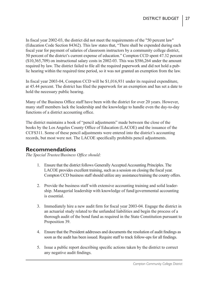In fiscal year 2002-03, the district did not meet the requirements of the "50 percent law" (Education Code Section 84362). This law states that, "There shall be expended during each fiscal year for payment of salaries of classroom instructors by a community college district, 50 percent of the district's current expense of education." Compton CCD spent 47.32 percent (\$10,365,709) on instructional salary costs in 2002-03. This was \$586,264 under the amount required by law. The district failed to file all the required paperwork and did not hold a public hearing within the required time period, so it was not granted an exemption from the law.

In fiscal year 2003-04, Compton CCD will be \$1,016,931 under its required expenditure, at 45.44 percent. The district has filed the paperwork for an exemption and has set a date to hold the necessary public hearing.

Many of the Business Office staff have been with the district for over 20 years. However, many staff members lack the leadership and the knowledge to handle even the day-to-day functions of a district accounting office.

The district maintains a book of "pencil adjustments" made between the close of the books by the Los Angeles County Office of Education (LACOE) and the issuance of the CCFS311. Some of these pencil adjustments were entered into the district's accounting records, but most were not. The LACOE specifically prohibits pencil adjustments.

### **Recommendations**

*The Special Trustee/Business Office should:*

- 1. Ensure that the district follows Generally Accepted Accounting Principles. The LACOE provides excellent training, such as a session on closing the fiscal year. Compton CCD business staff should utilize any assistance/training the county offers.
- 2. Provide the business staff with extensive accounting training and solid leadership. Managerial leadership with knowledge of fund/governmental accounting is essential.
- 3. Immediately hire a new audit firm for fiscal year 2003-04. Engage the district in an actuarial study related to the unfunded liabilities and begin the process of a thorough audit of the bond fund as required in the State Constitution pursuant to Proposition 39.
- 4. Ensure that the President addresses and documents the resolution of audit findings as soon as the audit has been issued. Require staff to track follow-ups for all findings.
- 5. Issue a public report describing specific actions taken by the district to correct any negative audit findings.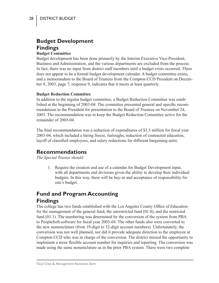# **Budget Development Findings**

#### **Budget Committee**

Budget development has been done primarily by the Interim Executive Vice-President, Business and Administration, and the various departments are excluded from the process. In fact, there was no input from district staff members until a budget crisis occurred. There does not appear to be a formal budget development calendar. A budget committee exists, and a memorandum to the Board of Trustees from the Compton CCD President on December 9, 2003, page 7, response 9, indicates that it meets at least quarterly.

#### **Budget Reduction Committee**

In addition to the regular budget committee, a Budget Reduction Committee was established at the beginning of 2003-04. The committee presented general and specific recommendations to the President for presentation to the Board of Trustees on November 24, 2003. The recommendation was to keep the Budget Reduction Committee active for the remainder of 2003-04.

The final recommendation was a reduction of expenditures of \$3.5 million for fiscal year 2003-04, which included a hiring freeze, furloughs, reduction of contracted education, layoff of classified employees, and salary reductions for different bargaining units.

### **Recommendations**

*The Special Trustee should:*

1. Require the creation and use of a calendar for Budget Development input, with all departments and divisions given the ability to develop their individual budgets. In this way, there will be buy-in and acceptance of responsibility for one's budget.

# **Fund and Program Accounting Findings**

The college has two funds established with the Los Angeles County Office of Education for the management of the general fund, the unrestricted fund (01.0), and the restricted fund (01.1). The numbering was determined by the conversion of the system from PBA to PeopleSoft software for fiscal year 2003-04. The other funds also were converted to the new nomenclature (from 19-digit to 32-digit account numbers). Unfortunately, the conversion was not well planned, nor did it provide adequate direction to the employee at Compton CCD who was in charge of the conversion. The district missed the opportunity to implement a more flexible account number for inquiries and reporting. The conversion was made using the same nomenclature as in the prior PBA system. There were two complete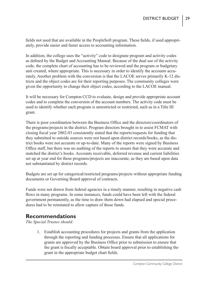fields not used that are available in the PeopleSoft program. These fields, if used appropriately, provide easier and faster access to accounting information.

In addition, the college uses the "activity" code to designate program and activity codes as defined by the Budget and Accounting Manual. Because of the dual use of the activity code, the complete chart of accounting has to be reviewed and the program or budgetary unit created, where appropriate. This is necessary in order to identify the accounts accurately. Another problem with the conversion is that the LACOE serves primarily K-12 districts and the object codes are for their reporting purposes. The community colleges were given the opportunity to change their object codes, according to the LACOE manual.

It will be necessary for Compton CCD to evaluate, design and provide appropriate account codes and to complete the conversion of the account numbers. The activity code must be used to identify whether each program is unrestricted or restricted, such as in a Title III grant.

There is poor coordination between the Business Office and the directors/coordinators of the programs/projects in the district. Program directors brought in to assist FCMAT with closing fiscal year 2002-03 consistently stated that the reports/requests for funding that they submitted to outside sources were not based upon district records/books, as the district books were not accurate or up-to-date. Many of the reports were signed by Business Office staff, but there was no auditing of the reports to ensure that they were accurate and matched the district's books. Accounts receivable, deferred revenue and current liabilities set up at year end for these programs/projects are inaccurate, as they are based upon data not substantiated by district records.

Budgets are set up for categorical/restricted programs/projects without appropriate funding documents or Governing Board approval of contracts.

Funds were not drawn from federal agencies in a timely manner, resulting in negative cash flows in many programs. In some instances, funds could have been left with the federal government permanently, as the time to draw them down had elapsed and special procedures had to be reinstated to allow capture of those funds.

### **Recommendations**

*The Special Trustee should:*

1. Establish accounting procedures for projects and grants from the application through the reporting and funding processes. Ensure that all applications for grants are approved by the Business Office prior to submission to ensure that the grant is fiscally acceptable. Obtain board approval prior to establishing the grant in the appropriate budget chart fields.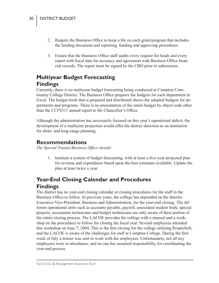- 2. Require the Business Office to keep a file on each grant/program that includes the funding document and reporting, funding and approving procedures.
- 3. Ensure that the Business Office staff audits every request for funds and every report with fiscal data for accuracy and agreement with Business Office financial records. The report must be signed by the CBO prior to submission.

# **Multiyear Budget Forecasting Findings**

Currently, there is no multiyear budget forecasting being conducted at Compton Community College District. The Business Office prepares the budgets for each department in Excel. The budget book that is prepared and distributed shows the adopted budgets for departments and programs. There is no presentation of the entire budget by object code other than the CCFS311 annual report to the Chancellor's Office.

Although the administration has necessarily focused on this year's operational deficit, the development of a multiyear projection would offer the district direction as an institution for short- and long-range planning.

#### **Recommendations**

*The Special Trustee/Business Office should:*

1. Institute a system of budget forecasting, with at least a five-year projected plan for revenue and expenditure based upon the best estimates available. Update the plan at least twice a year.

# **Year-End Closing Calendar and Procedures Findings**

The district has no year-end closing calendar or closing procedures for the staff in the Business Office to follow. In previous years, the college has depended on the Interim Executive Vice-President, Business and Administration, for the year-end closing. The different operational units such as accounts payable, payroll, associated student body, special projects, accountant technicians and budget technicians are only aware of their portion of the entire closing process. The LACOE provides the college with a manual and a workshop on the procedures to follow for closing the fiscal year. Several employees attended this workshop on June 7, 2004. This is the first closing for the college utilizing PeopleSoft, and the LACOE is aware of the challenges for staff at Compton College. During the first week of July a trainer was sent to work with the employees. Unfortunately, not all key employees were in attendance, and no one has assumed responsibility for coordinating the year-end process.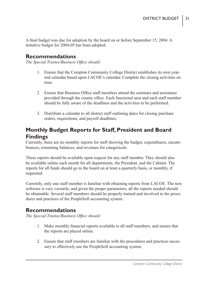A final budget was due for adoption by the board on or before September 15, 2004. A tentative budget for 2004-05 has been adopted.

### **Recommendations**

*The Special Trustee/Business Office should:*

- 1. Ensure that the Compton Community College District establishes its own yearend calendar based upon LACOE's calendar. Complete the closing activities on time.
- 2. Ensure that Business Office staff members attend the seminars and assistance provided through the county office. Each functional area and each staff member should be fully aware of the deadlines and the activities to be performed.
- 3. Distribute a calendar to all district staff outlining dates for closing purchase orders, requisitions, and payroll deadlines.

# **Monthly Budget Reports for Staff, President and Board Findings**

Currently, there are no monthly reports for staff showing the budget, expenditures, encumbrances, remaining balances, and revenues for categoricals.

These reports should be available upon request for any staff member. They should also be available online each month for all departments, the President, and the Cabinet. The reports for all funds should go to the board on at least a quarterly basis, or monthly, if requested.

Currently, only one staff member is familiar with obtaining reports from LACOE. The new software is very versatile, and given the proper parameters, all the reports needed should be obtainable. Several staff members should be properly trained and involved in the procedures and practices of the PeopleSoft accounting system.

# **Recommendations**

*The Special Trustee/Business Office should:*

- 1. Make monthly financial reports available to all staff members, and ensure that the reports are placed online.
- 2. Ensure that staff members are familiar with the procedures and practices necessary to effectively use the PeopleSoft accounting system.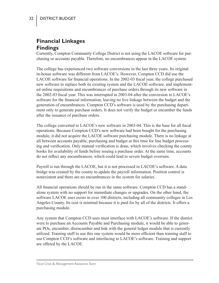# **Financial Linkages Findings**

Currently, Compton Community College District is not using the LACOE software for purchasing or accounts payable. Therefore, no encumbrances appear in the LACOE system.

The college has experienced two software conversions in the last three years. Its original in-house software was different from LACOE's. However, Compton CCD did use the LACOE software for financial operations. In the 2002-03 fiscal year, the college purchased new software to replace both its existing system and the LACOE software, and implemented online requisitions and encumbrances of purchase orders through its new software in the 2002-03 fiscal year. This was interrupted in 2003-04 after the conversion to LACOE's software for the financial information, leaving no live linkage between the budget and the generation of encumbrances. Compton CCD's software is used by the purchasing department only to generate purchase orders. It does not verify the budget or encumber the funds after the issuance of purchase orders.

The college converted to LACOE's new software in 2003-04. This is the base for all fiscal operations. Because Compton CCD's new software had been bought for the purchasing module, it did not acquire the LACOE software purchasing module. There is no linkage at all between accounts payable, purchasing and budget at this time for line budget processing and verification. Only manual verification is done, which involves checking the county books for availability of funds before issuing a purchase order. At the same time, accounts do not reflect any encumbrances, which could lead to severe budget overruns.

Payroll is run through the LACOE, but it is not processed in LACOE's software. A data bridge was created by the county to update the payroll information. Position control is nonexistent and there are no encumbrances in the system for salaries.

All financial operations should be run in the same software. Compton CCD has a standalone system with no support for immediate changes or upgrades. On the other hand, the software LACOE uses exists in over 100 districts, including all community colleges in Los Angeles County. Its cost is minimal because it is paid for by all of the districts. It offers a purchasing module.

Any system that Compton CCD uses must interface with LACOE's software. If the district were to purchase an Accounts Payable and Purchasing module, it would be able to generate POs, encumber, disencumber and link with the general ledger module that is currently utilized. Training staff to use this one system would be more efficient than training staff to use Compton CCD's software and interfacing to LACOE's software. Training and support are offered by the LACOE.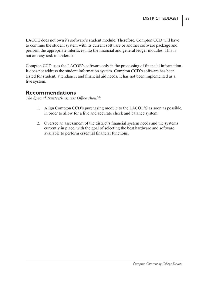LACOE does not own its software's student module. Therefore, Compton CCD will have to continue the student system with its current software or another software package and perform the appropriate interfaces into the financial and general ledger modules. This is not an easy task to undertake.

Compton CCD uses the LACOE's software only in the processing of financial information. It does not address the student information system. Compton CCD's software has been tested for student, attendance, and financial aid needs. It has not been implemented as a live system.

### **Recommendations**

*The Special Trustee/Business Office should:*

- 1. Align Compton CCD's purchasing module to the LACOE'S as soon as possible, in order to allow for a live and accurate check and balance system.
- 2. Oversee an assessment of the district's financial system needs and the systems currently in place, with the goal of selecting the best hardware and software available to perform essential financial functions.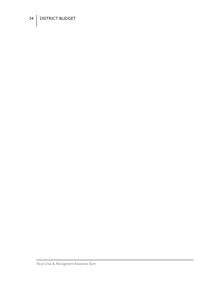34 | DISTRICT BUDGET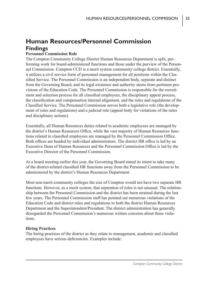# **Human Resources/Personnel Commission Findings**

### **Personnel Commission Role**

The Compton Community College District Human Resources Department is split, performing work for board-administered functions and those under the purview of the Personnel Commission. Compton CCD is a merit system community college district. Essentially, it utilizes a civil service form of personnel management for all positions within the Classified Service. The Personnel Commission is an independent body, separate and distinct from the Governing Board, and its legal existence and authority stems from pertinent provisions of the Education Code. The Personnel Commission is responsible for the recruitment and selection process for all classified employees, the disciplinary appeal process, the classification and compensation internal alignment, and the rules and regulations of the Classified Service. The Personnel Commission serves both a legislative role (the development of rules and regulations) and a judicial role (appeal body for violations of the rules and disciplinary actions).

Essentially, all Human Resources duties related to academic employees are managed by the district's Human Resources Office, while the vast majority of Human Resources functions related to classified employees are managed by the Personnel Commission Office. Both offices are headed by individual administrators. The district HR office is led by an Executive Dean of Human Resources and the Personnel Commission Office is led by the Executive Director of the Personnel Commission.

At a board meeting earlier this year, the Governing Board stated its intent to take many of the district-related classified HR functions away from the Personnel Commission to be administered by the district's Human Resources Department.

Most non-merit community colleges the size of Compton would not have two separate HR functions. However, as a merit system, that separation of roles is not unusual. The relationship between the Personnel Commission and the district has been strained during the last few years. The Personnel Commission staff has pointed out numerous violations of the Education Code and district rules and regulations to both the district Human Resources Department and the Superintendent/President. The district administration has generally disregarded the Personnel Commission's numerous written concerns about these violations.

#### **Hiring Practices**

The hiring practices of the district as they relate to management, academic and classified employees have serious deficiencies. Examples include: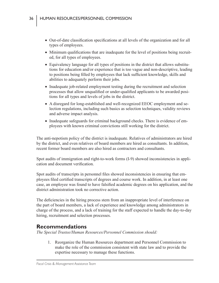- Out-of-date classification specifications at all levels of the organization and for all types of employees.
- Minimum qualifications that are inadequate for the level of positions being recruited, for all types of employees.
- Equivalency language for all types of positions in the district that allows substitutions for education and/or experience that is too vague and non-descriptive, leading to positions being filled by employees that lack sufficient knowledge, skills and abilities to adequately perform their jobs.
- Inadequate job-related employment testing during the recruitment and selection processes that allow unqualified or under-qualified applicants to be awarded positions for all types and levels of jobs in the district.
- A disregard for long-established and well-recognized EEOC employment and selection regulations, including such basics as selection techniques, validity reviews and adverse impact analysis.
- Inadequate safeguards for criminal background checks. There is evidence of employees with known criminal convictions still working for the district.

The anti-nepotism policy of the district is inadequate. Relatives of administrators are hired by the district, and even relatives of board members are hired as consultants. In addition, recent former board members are also hired as contractors and consultants.

Spot audits of immigration and right-to-work forms (I-9) showed inconsistencies in application and document verification.

Spot audits of transcripts in personnel files showed inconsistencies in ensuring that employees filed certified transcripts of degrees and course work. In addition, in at least one case, an employee was found to have falsified academic degrees on his application, and the district administration took no corrective action.

The deficiencies in the hiring process stem from an inappropriate level of interference on the part of board members, a lack of experience and knowledge among administrators in charge of the process, and a lack of training for the staff expected to handle the day-to-day hiring, recruitment and selection processes.

## **Recommendations**

*The Special Trustee/Human Resources/Personnel Commission should:*

1. Reorganize the Human Resources department and Personnel Commission to make the role of the commission consistent with state law and to provide the expertise necessary to manage these functions.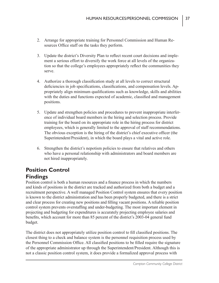- 2. Arrange for appropriate training for Personnel Commission and Human Resources Office staff on the tasks they perform.
- 3. Update the district's Diversity Plan to reflect recent court decisions and implement a serious effort to diversify the work force at all levels of the organization so that the college's employees appropriately reflect the communities they serve.
- 4. Authorize a thorough classification study at all levels to correct structural deficiencies in job specifications, classifications, and compensation levels. Appropriately align minimum qualifications such as knowledge, skills and abilities with the duties and functions expected of academic, classified and management positions.
- 5. Update and strengthen policies and procedures to prevent inappropriate interference of individual board members in the hiring and selection process. Provide training for the board on its appropriate role in the hiring process for district employees, which is generally limited to the approval of staff recommendations. The obvious exception is the hiring of the district's chief executive officer (the Superintendent/President), in which the board plays a vital and active role.
- 6. Strengthen the district's nepotism policies to ensure that relatives and others who have a personal relationship with administrators and board members are not hired inappropriately.

## **Position Control Findings**

Position control is both a human resources and a finance process in which the numbers and kinds of positions in the district are tracked and authorized from both a budget and a recruitment perspective. A well managed Position Control system ensures that every position is known to the district administration and has been properly budgeted, and there is a strict and clear process for creating new positions and filling vacant positions. A reliable position control system prevents overstaffing and under-budgeting. The most important element in projecting and budgeting for expenditures is accurately projecting employee salaries and benefits, which account for more than 85 percent of the district's 2003-04 general fund budget.

The district does not appropriately utilize position control to fill classified positions. The closest thing to a check and balance system is the personnel requisition process used by the Personnel Commission Office. All classified positions to be filled require the signature of the appropriate administrator up through the Superintendent/President. Although this is not a classic position control system, it does provide a formalized approval process with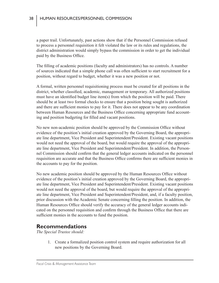a paper trail. Unfortunately, past actions show that if the Personnel Commission refused to process a personnel requisition it felt violated the law or its rules and regulations, the district administration would simply bypass the commission in order to get the individual paid by the Business Office.

The filling of academic positions (faculty and administrators) has no controls. A number of sources indicated that a simple phone call was often sufficient to start recruitment for a position, without regard to budget, whether it was a new position or not.

A formal, written personnel requisitioning process must be created for all positions in the district, whether classified, academic, management or temporary. All authorized positions must have an identified budget line item(s) from which the position will be paid. There should be at least two formal checks to ensure that a position being sought is authorized and there are sufficient monies to pay for it. There does not appear to be any coordination between Human Resources and the Business Office concerning appropriate fund accounting and position budgeting for filled and vacant positions.

No new non-academic position should be approved by the Commission Office without evidence of the position's initial creation approved by the Governing Board, the appropriate line department, Vice President and Superintendent/President. Existing vacant positions would not need the approval of the board, but would require the approval of the appropriate line department, Vice President and Superintendent/President. In addition, the Personnel Commission should confirm that the general ledger accounts indicated on the personnel requisition are accurate and that the Business Office confirms there are sufficient monies in the accounts to pay for the position.

No new academic position should be approved by the Human Resources Office without evidence of the position's initial creation approved by the Governing Board, the appropriate line department, Vice President and Superintendent/President. Existing vacant positions would not need the approval of the board, but would require the approval of the appropriate line department, Vice President and Superintendent/President, and, if a faculty position, prior discussion with the Academic Senate concerning filling the position. In addition, the Human Resources Office should verify the accuracy of the general ledger accounts indicated on the personnel requisition and confirm through the Business Office that there are sufficient monies in the accounts to fund the position.

## **Recommendations**

*The Special Trustee should:*

1. Create a formalized position control system and require authorization for all new positions by the Governing Board.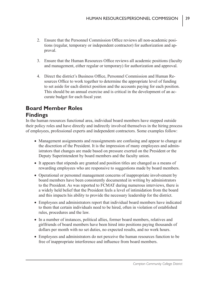- 2. Ensure that the Personnel Commission Office reviews all non-academic positions (regular, temporary or independent contractor) for authorization and approval.
- 3. Ensure that the Human Resources Office reviews all academic positions (faculty and management, either regular or temporary) for authorization and approval.
- 4. Direct the district's Business Office, Personnel Commission and Human Resources Office to work together to determine the appropriate level of funding to set aside for each district position and the accounts paying for each position. This should be an annual exercise and is critical in the development of an accurate budget for each fiscal year.

## **Board Member Roles Findings**

In the human resources functional area, individual board members have stepped outside their policy roles and have directly and indirectly involved themselves in the hiring process of employees, professional experts and independent contractors. Some examples follow:

- Management assignments and reassignments are confusing and appear to change at the discretion of the President. It is the impression of many employees and administrators that changes are made based on pressure exerted on the President or the Deputy Superintendent by board members and the faculty union.
- It appears that stipends are granted and position titles are changed as a means of rewarding employees who are responsive to suggestions made by board members.
- Operational or personnel management concerns of inappropriate involvement by board members have been consistently documented in writing by administrators to the President. As was reported to FCMAT during numerous interviews, there is a widely held belief that the President feels a level of intimidation from the board and this impacts his ability to provide the necessary leadership for the district.
- Employees and administrators report that individual board members have indicated to them that certain individuals need to be hired, often in violation of established rules, procedures and the law.
- In a number of instances, political allies, former board members, relatives and girlfriends of board members have been hired into positions paying thousands of dollars per month with no set duties, no expected results, and no work hours.
- Employees and administrators do not perceive the human resources function to be free of inappropriate interference and influence from board members.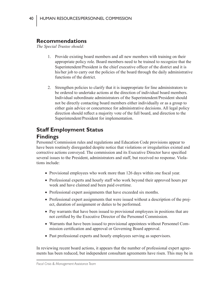## **Recommendations**

*The Special Trustee should:*

- 1. Provide existing board members and all new members with training on their appropriate policy role. Board members need to be trained to recognize that the Superintendent/President is the chief executive officer of the district and it is his/her job to carry out the policies of the board through the daily administrative functions of the district.
- 2. Strengthen policies to clarify that it is inappropriate for line administrators to be ordered to undertake actions at the direction of individual board members. Individual subordinate administrators of the Superintendent/President should not be directly contacting board members either individually or as a group to either gain advice or concurrence for administrative decisions. All legal policy direction should reflect a majority vote of the full board, and direction to the Superintendent/President for implementation.

# **Staff Employment Status**

## **Findings**

Personnel Commission rules and regulations and Education Code provisions appear to have been routinely disregarded despite notice that violations or irregularities existed and corrective actions conveyed. The commission and its Executive Director have specified several issues to the President, administrators and staff, but received no response. Violations include:

- Provisional employees who work more than 126 days within one fiscal year.
- Professional experts and hourly staff who work beyond their approved hours per week and have claimed and been paid overtime.
- Professional expert assignments that have exceeded six months.
- Professional expert assignments that were issued without a description of the project, duration of assignment or duties to be performed.
- Pay warrants that have been issued to provisional employees in positions that are not certified by the Executive Director of the Personnel Commission.
- Warrants that have been issued to provisional appointees without Personnel Commission certification and approval or Governing Board approval.
- Past professional experts and hourly employees serving as supervisors.

In reviewing recent board actions, it appears that the number of professional expert agreements has been reduced, but independent consultant agreements have risen. This may be in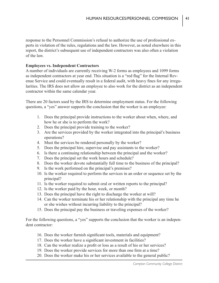response to the Personnel Commission's refusal to authorize the use of professional experts in violation of the rules, regulations and the law. However, as noted elsewhere in this report, the district's subsequent use of independent contractors was also often a violation of the law.

#### **Employees vs. Independent Contractors**

A number of individuals are currently receiving W-2 forms as employees and 1099 forms as independent contractors at year end. This situation is a "red flag" for the Internal Revenue Service and could eventually result in a federal audit, with heavy fines for any irregularities. The IRS does not allow an employee to also work for the district as an independent contractor within the same calendar year.

There are 20 factors used by the IRS to determine employment status. For the following questions, a "yes" answer supports the conclusion that the worker is an employee:

- 1. Does the principal provide instructions to the worker about when, where, and how he or she is to perform the work?
- 2. Does the principal provide training to the worker?
- 3. Are the services provided by the worker integrated into the principal's business operations?
- 4. Must the services be rendered personally by the worker?
- 5. Does the principal hire, supervise and pay assistants to the worker?
- 6. Is there a continuing relationship between the principal and the worker?
- 7. Does the principal set the work hours and schedule?
- 8. Does the worker devote substantially full time to the business of the principal?
- 9. Is the work performed on the principal's premises?
- 10. Is the worker required to perform the services in an order or sequence set by the principal?
- 11. Is the worker required to submit oral or written reports to the principal?
- 12. Is the worker paid by the hour, week, or month?
- 13. Does the principal have the right to discharge the worker at will?
- 14. Can the worker terminate his or her relationship with the principal any time he or she wishes without incurring liability to the principal?
- 15. Does the principal pay the business or traveling expenses of the worker?

For the following questions, a "yes" supports the conclusion that the worker is an independent contractor:

- 16. Does the worker furnish significant tools, materials and equipment?
- 17. Does the worker have a significant investment in facilities?
- 18. Can the worker realize a profit or loss as a result of his or her services?
- 19. Does the worker provide services for more than one firm at a time?
- 20. Does the worker make his or her services available to the general public?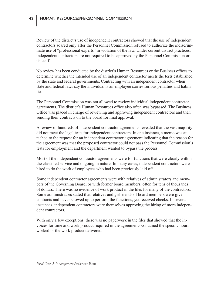### 42 HUMAN RESOURCES/PERSONNEL COMMISSION

Review of the district's use of independent contractors showed that the use of independent contractors soared only after the Personnel Commission refused to authorize the indiscriminate use of "professional experts" in violation of the law. Under current district practices, independent contractors are not required to be approved by the Personnel Commission or its staff.

No review has been conducted by the district's Human Resources or the Business offices to determine whether the intended use of an independent contractor meets the tests established by the state and federal governments. Contracting with an independent contractor when state and federal laws say the individual is an employee carries serious penalties and liabilities.

The Personnel Commission was not allowed to review individual independent contractor agreements. The district's Human Resources office also often was bypassed. The Business Office was placed in charge of reviewing and approving independent contractors and then sending their contracts on to the board for final approval.

A review of hundreds of independent contractor agreements revealed that the vast majority did not meet the legal tests for independent contractors. In one instance, a memo was attached to the request for an independent contractor agreement indicating that the reason for the agreement was that the proposed contractor could not pass the Personnel Commission's tests for employment and the department wanted to bypass the process.

Most of the independent contractor agreements were for functions that were clearly within the classified service and ongoing in nature. In many cases, independent contractors were hired to do the work of employees who had been previously laid off.

Some independent contractor agreements were with relatives of administrators and members of the Governing Board, or with former board members, often for tens of thousands of dollars. There was no evidence of work product in the files for many of the contractors. Some administrators stated that relatives and girlfriends of board members were given contracts and never showed up to perform the functions, yet received checks. In several instances, independent contractors were themselves approving the hiring of more independent contractors.

With only a few exceptions, there was no paperwork in the files that showed that the invoices for time and work product required in the agreements contained the specific hours worked or the work product delivered.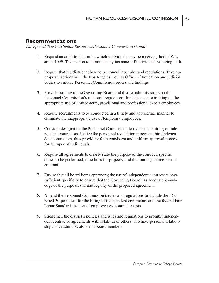## **Recommendations**

*The Special Trustee/Human Resources/Personnel Commission should:*

- 1. Request an audit to determine which individuals may be receiving both a W-2 and a 1099. Take action to eliminate any instances of individuals receiving both.
- 2. Require that the district adhere to personnel law, rules and regulations. Take appropriate actions with the Los Angeles County Office of Education and judicial bodies to enforce Personnel Commission orders and findings.
- 3. Provide training to the Governing Board and district administrators on the Personnel Commission's rules and regulations. Include specific training on the appropriate use of limited-term, provisional and professional expert employees.
- 4. Require recruitments to be conducted in a timely and appropriate manner to eliminate the inappropriate use of temporary employees.
- 5. Consider designating the Personnel Commission to oversee the hiring of independent contractors. Utilize the personnel requisition process to hire independent contractors, thus providing for a consistent and uniform approval process for all types of individuals.
- 6. Require all agreements to clearly state the purpose of the contract, specific duties to be performed, time lines for projects, and the funding source for the contract.
- 7. Ensure that all board items approving the use of independent contractors have sufficient specificity to ensure that the Governing Board has adequate knowledge of the purpose, use and legality of the proposed agreement.
- 8. Amend the Personnel Commission's rules and regulations to include the IRSbased 20-point test for the hiring of independent contractors and the federal Fair Labor Standards Act set of employee vs. contractor tests.
- 9. Strengthen the district's policies and rules and regulations to prohibit independent contractor agreements with relatives or others who have personal relationships with administrators and board members.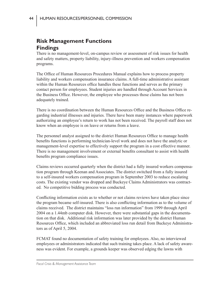# **Risk Management Functions Findings**

There is no management-level, on-campus review or assessment of risk issues for health and safety matters, property liability, injury-illness prevention and workers compensation programs.

The Office of Human Resources Procedures Manual explains how to process property liability and workers compensation insurance claims. A full-time administrative assistant within the Human Resources office handles these functions and serves as the primary contact person for employees. Student injuries are handled through Account Services in the Business Office. However, the employee who processes those claims has not been adequately trained.

There is no coordination between the Human Resources Office and the Business Office regarding industrial illnesses and injuries. There have been many instances where paperwork authorizing an employee's return to work has not been received. The payroll staff does not know when an employee is on leave or returns from a leave.

The personnel analyst assigned to the district Human Resources Office to manage health benefits functions is performing technician-level work and does not have the analytic or management-level expertise to effectively support the program in a cost effective manner. There is no management involvement or external benefits consultant to assist with health benefits program compliance issues.

Claims reviews occurred quarterly when the district had a fully insured workers compensation program through Keenan and Associates. The district switched from a fully insured to a self-insured workers compensation program in September 2003 to reduce escalating costs. The existing vendor was dropped and Buckeye Claims Administrators was contracted. No competitive bidding process was conducted.

Conflicting information exists as to whether or not claims reviews have taken place since the program became self-insured. There is also conflicting information as to the volume of claims received. The district maintains "loss run information" from 1999 through April 2004 on a 1.44mb computer disk. However, there were substantial gaps in the documentation on that disk. Additional risk information was later provided by the district Human Resources Office, which included an abbreviated loss run detail from Buckeye Administrators as of April 5, 2004.

FCMAT found no documentation of safety training for employees. Also, no interviewed employees or administrators indicated that such training takes place. A lack of safety awareness was evident. For example, a grounds keeper was observed edging the lawns with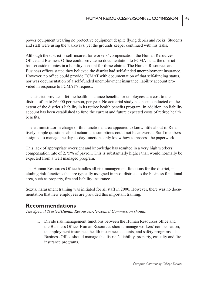power equipment wearing no protective equipment despite flying debris and rocks. Students and staff were using the walkways, yet the grounds keeper continued with his tasks.

Although the district is self-insured for workers' compensation, the Human Resources Office and Business Office could provide no documentation to FCMAT that the district has set aside monies in a liability account for these claims. The Human Resources and Business offices stated they believed the district had self-funded unemployment insurance. However, no office could provide FCMAT with documentation of that self-funding status, nor was documentation of a self-funded unemployment insurance liability account provided in response to FCMAT's request.

The district provides lifetime health insurance benefits for employees at a cost to the district of up to \$6,000 per person, per year. No actuarial study has been conducted on the extent of the district's liability in its retiree health benefits program. In addition, no liability account has been established to fund the current and future expected costs of retiree health **benefits** 

The administrator in charge of this functional area appeared to know little about it. Relatively simple questions about actuarial assumptions could not be answered. Staff members assigned to manage the day-to-day functions only know how to process the paperwork.

This lack of appropriate oversight and knowledge has resulted in a very high workers' compensation rate of 2.75% of payroll. This is substantially higher than would normally be expected from a well managed program.

The Human Resources Office handles all risk management functions for the district, including risk functions that are typically assigned in most districts to the business functional area, such as property, fire and liability insurance.

Sexual harassment training was initiated for all staff in 2000. However, there was no documentation that new employees are provided this important training.

### **Recommendations**

*The Special Trustee/Human Resources/Personnel Commission should:*

1. Divide risk management functions between the Human Resources office and the Business Office. Human Resources should manage workers' compensation, unemployment insurance, health insurance accounts, and safety programs. The Business Office should manage the district's liability, property, casualty and fire insurance programs.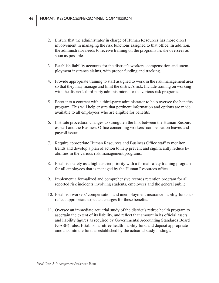- 2. Ensure that the administrator in charge of Human Resources has more direct involvement in managing the risk functions assigned to that office. In addition, the administrator needs to receive training on the programs he/she oversees as soon as possible.
- 3. Establish liability accounts for the district's workers' compensation and unemployment insurance claims, with proper funding and tracking.
- 4. Provide appropriate training to staff assigned to work in the risk management area so that they may manage and limit the district's risk. Include training on working with the district's third-party administrators for the various risk programs.
- 5. Enter into a contract with a third-party administrator to help oversee the benefits program. This will help ensure that pertinent information and options are made available to all employees who are eligible for benefits.
- 6. Institute procedural changes to strengthen the link between the Human Resources staff and the Business Office concerning workers' compensation leaves and payroll issues.
- 7. Require appropriate Human Resources and Business Office staff to monitor trends and develop a plan of action to help prevent and significantly reduce liabilities in the various risk management programs.
- 8. Establish safety as a high district priority with a formal safety training program for all employees that is managed by the Human Resources office.
- 9. Implement a formalized and comprehensive records retention program for all reported risk incidents involving students, employees and the general public.
- 10. Establish workers' compensation and unemployment insurance liability funds to reflect appropriate expected charges for these benefits.
- 11. Oversee an immediate actuarial study of the district's retiree health program to ascertain the extent of its liability, and reflect that amount in its official assets and liability figures as required by Governmental Accounting Standards Board (GASB) rules. Establish a retiree health liability fund and deposit appropriate amounts into the fund as established by the actuarial study findings.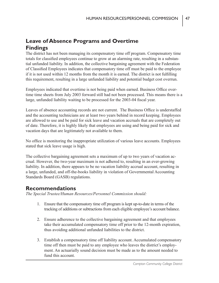# **Leave of Absence Programs and Overtime Findings**

The district has not been managing its compensatory time off program. Compensatory time totals for classified employees continue to grow at an alarming rate, resulting in a substantial unfunded liability. In addition, the collective bargaining agreement with the Federation of Classified Employees indicates that compensatory time off must be paid to the employee if it is not used within 12 months from the month it is earned. The district is not fulfilling this requirement, resulting in a large unfunded liability and potential budget cost overrun.

Employees indicated that overtime is not being paid when earned. Business Office overtime time sheets from July 2003 forward still had not been processed. This means there is a large, unfunded liability waiting to be processed for the 2003-04 fiscal year.

Leaves of absence accounting records are not current. The Business Office is understaffed and the accounting technicians are at least two years behind in record keeping. Employees are allowed to use and be paid for sick leave and vacation accruals that are completely out of date. Therefore, it is highly likely that employees are using and being paid for sick and vacation days that are legitimately not available to them.

No office is monitoring the inappropriate utilization of various leave accounts. Employees stated that sick leave usage is high.

The collective bargaining agreement sets a maximum of up to two years of vacation accrual. However, the two-year maximum is not adhered to, resulting in an ever-growing liability. In addition, there appears to be no vacation liability accrual account, resulting in a large, unfunded, and off-the-books liability in violation of Governmental Accounting Standards Board (GASB) regulations.

## **Recommendations**

*The Special Trustee/Human Resources/Personnel Commission should:*

- 1. Ensure that the compensatory time off program is kept up-to-date in terms of the tracking of additions or subtractions from each eligible employee's account balance.
- 2. Ensure adherence to the collective bargaining agreement and that employees take their accumulated compensatory time off prior to the 12-month expiration, thus avoiding additional unfunded liabilities to the district.
- 3. Establish a compensatory time off liability account. Accumulated compensatory time off then must be paid to any employee who leaves the district's employment. An actuarially sound decision must be made as to the amount needed to fund this account.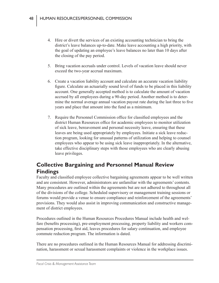- 4. Hire or divert the services of an existing accounting technician to bring the district's leave balances up-to-date. Make leave accounting a high priority, with the goal of updating an employee's leave balances no later than 10 days after the closing of the pay period.
- 5. Bring vacation accruals under control. Levels of vacation leave should never exceed the two-year accrual maximum.
- 6. Create a vacation liability account and calculate an accurate vacation liability figure. Calculate an actuarially sound level of funds to be placed in this liability account. One generally accepted method is to calculate the amount of vacation accrued by all employees during a 90-day period. Another method is to determine the normal average annual vacation payout rate during the last three to five years and place that amount into the fund as a minimum.
- 7. Require the Personnel Commission office for classified employees and the district Human Resources office for academic employees to monitor utilization of sick leave, bereavement and personal necessity leave, ensuring that these leaves are being used appropriately by employees. Initiate a sick leave reduction program, looking for unusual patterns of utilization and helping to counsel employees who appear to be using sick leave inappropriately. In the alternative, take effective disciplinary steps with those employees who are clearly abusing leave privileges.

## **Collective Bargaining and Personnel Manual Review Findings**

Faculty and classified employee collective bargaining agreements appear to be well written and are consistent. However, administrators are unfamiliar with the agreements' contents. Many procedures are outlined within the agreements but are not adhered to throughout all of the divisions of the college. Scheduled supervisory or management training sessions or forums would provide a venue to ensure compliance and reinforcement of the agreements' provisions. They would also assist in improving communication and constructive management of district employees.

Procedures outlined in the Human Resources Procedures Manual include health and welfare (benefits processing), pre-employment processing, property liability and workers compensation processing, first aid, leaves procedures for salary continuation, and employee commute reduction program. The information is dated.

There are no procedures outlined in the Human Resources Manual for addressing discrimination, harassment or sexual harassment complaints or violence in the workplace issues.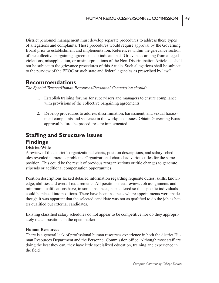District personnel management must develop separate procedures to address these types of allegations and complaints. These procedures would require approval by the Governing Board prior to establishment and implementation. References within the grievance section of the collective bargaining agreements do indicate that "Grievances arising from alleged violations, misapplication, or misinterpretations of the Non-Discrimination Article … shall not be subject to the grievance procedures of this Article. Such allegations shall be subject to the purview of the EEOC or such state and federal agencies as prescribed by law."

## **Recommendations**

*The Special Trustee/Human Resources/Personnel Commission should:*

- 1. Establish training forums for supervisors and managers to ensure compliance with provisions of the collective bargaining agreements.
- 2. Develop procedures to address discrimination, harassment, and sexual harassment complaints and violence in the workplace issues. Obtain Governing Board approval before the procedures are implemented.

# **Staffing and Structure Issues Findings**

### **District-Wide**

A review of the district's organizational charts, position descriptions, and salary schedules revealed numerous problems. Organizational charts had various titles for the same position. This could be the result of previous reorganizations or title changes to generate stipends or additional compensation opportunities.

Position descriptions lacked detailed information regarding requisite duties, skills, knowledge, abilities and overall requirements. All positions need review. Job assignments and minimum qualifications have, in some instances, been altered so that specific individuals could be placed into positions. There have been instances where appointments were made though it was apparent that the selected candidate was not as qualified to do the job as better qualified but external candidates.

Existing classified salary schedules do not appear to be competitive nor do they appropriately match positions in the open market.

#### **Human Resources**

There is a general lack of professional human resources experience in both the district Human Resources Department and the Personnel Commission office. Although most staff are doing the best they can, they have little specialized education, training and experience in the field.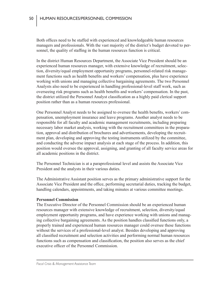Both offices need to be staffed with experienced and knowledgeable human resources managers and professionals. With the vast majority of the district's budget devoted to personnel, the quality of staffing in the human resources function is critical.

In the district Human Resources Department, the Associate Vice President should be an experienced human resources manager, with extensive knowledge of recruitment, selection, diversity/equal employment opportunity programs, personnel-related risk management functions such as health benefits and workers' compensation, plus have experience working with unions and managing collective bargaining agreements. The two Personnel Analysts also need to be experienced in handling professional-level staff work, such as overseeing risk programs such as health benefits and workers' compensation. In the past, the district utilized the Personnel Analyst classification as a highly paid clerical support position rather than as a human resources professional.

One Personnel Analyst needs to be assigned to oversee the health benefits, workers' compensation, unemployment insurance and leave programs. Another analyst needs to be responsible for all faculty and academic management recruitments, including preparing necessary labor market analysis, working with the recruitment committees in the preparation, approval and distribution of brochures and advertisements, developing the recruitment plan, developing and approving the testing instruments utilized by the committee, and conducting the adverse impact analysis at each stage of the process. In addition, this position would oversee the approval, assigning, and granting of all faculty service areas for all academic positions in the district.

The Personnel Technician is at a paraprofessional level and assists the Associate Vice President and the analysts in their various duties.

The Administrative Assistant position serves as the primary administrative support for the Associate Vice President and the office, performing secretarial duties, tracking the budget, handling calendars, appointments, and taking minutes at various committee meetings.

#### **Personnel Commission**

The Executive Director of the Personnel Commission should be an experienced human resources manager with extensive knowledge of recruitment, selection, diversity/equal employment opportunity programs, and have experience working with unions and managing collective bargaining agreements. As the position handles classified functions only, a properly trained and experienced human resources manager could oversee these functions without the services of a professional-level analyst. Besides developing and approving all classified recruitment and selection activities and performing normal human resources functions such as compensation and classification, the position also serves as the chief executive officer of the Personnel Commission.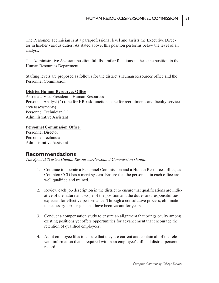The Personnel Technician is at a paraprofessional level and assists the Executive Director in his/her various duties. As stated above, this position performs below the level of an analyst.

The Administrative Assistant position fulfills similar functions as the same position in the Human Resources Department.

Staffing levels are proposed as follows for the district's Human Resources office and the Personnel Commission:

#### **District Human Resources Office**

Associate Vice President – Human Resources Personnel Analyst (2) (one for HR risk functions, one for recruitments and faculty service area assessments) Personnel Technician (1) Administrative Assistant

#### **Personnel Commission Office**

Personnel Director Personnel Technician Administrative Assistant

### **Recommendations**

*The Special Trustee/Human Resources/Personnel Commission should:*

- 1. Continue to operate a Personnel Commission and a Human Resources office, as Compton CCD has a merit system. Ensure that the personnel in each office are well qualified and trained.
- 2. Review each job description in the district to ensure that qualifications are indicative of the nature and scope of the position and the duties and responsibilities expected for effective performance. Through a consultative process, eliminate unnecessary jobs or jobs that have been vacant for years.
- 3. Conduct a compensation study to ensure an alignment that brings equity among existing positions yet offers opportunities for advancement that encourage the retention of qualified employees.
- 4. Audit employee files to ensure that they are current and contain all of the relevant information that is required within an employee's official district personnel record.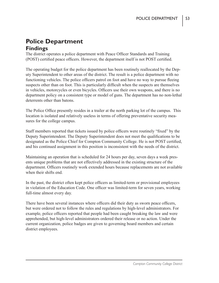# **Police Department Findings**

The district operates a police department with Peace Officer Standards and Training (POST) certified peace officers. However, the department itself is not POST certified.

The operating budget for the police department has been routinely reallocated by the Deputy Superintendent to other areas of the district. The result is a police department with no functioning vehicles. The police officers patrol on foot and have no way to pursue fleeing suspects other than on foot. This is particularly difficult when the suspects are themselves in vehicles, motorcycles or even bicycles. Officers use their own weapons, and there is no department policy on a consistent type or model of guns. The department has no non-lethal deterrents other than batons.

The Police Office presently resides in a trailer at the north parking lot of the campus. This location is isolated and relatively useless in terms of offering preventative security measures for the college campus.

Staff members reported that tickets issued by police officers were routinely "fixed" by the Deputy Superintendent. The Deputy Superintendent does not meet the qualifications to be designated as the Police Chief for Compton Community College. He is not POST certified, and his continued assignment in this position is inconsistent with the needs of the district.

Maintaining an operation that is scheduled for 24 hours per day, seven days a week presents unique problems that are not effectively addressed in the existing structure of the department. Officers routinely work extended hours because replacements are not available when their shifts end.

In the past, the district often kept police officers as limited-term or provisional employees in violation of the Education Code. One officer was limited-term for seven years, working full-time almost every day.

There have been several instances where officers did their duty as sworn peace officers, but were ordered not to follow the rules and regulations by high-level administrators. For example, police officers reported that people had been caught breaking the law and were apprehended, but high-level administrators ordered their release or no action. Under the current organization, police badges are given to governing board members and certain district employees.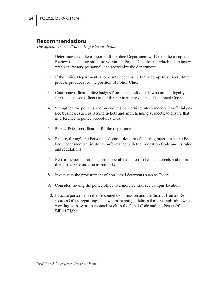### **Recommendations**

*The Special Trustee/Police Department should:*

- 1. Determine what the mission of the Police Department will be on the campus. Review the existing structure within the Police Department, which is top heavy with supervisory personnel, and reorganize the department.
- 2. If the Police Department is to be retained, ensure that a competitive recruitment process proceeds for the position of Police Chief.
- 3. Confiscate official police badges from those individuals who are not legally serving as peace officers under the pertinent provisions of the Penal Code.
- 4. Strengthen the policies and procedures concerning interference with official police business, such as issuing tickets and apprehending suspects, to ensure that interference in police procedures ends.
- 5. Pursue POST certification for the department.
- 6. Ensure, through the Personnel Commission, that the hiring practices in the Police Department are in strict conformance with the Education Code and its rules and regulations.
- 7. Repair the police cars that are inoperable due to mechanical defects and return them to service as soon as possible.
- 8. Investigate the procurement of non-lethal deterrents such as Tasers.
- 9. Consider moving the police office to a more centralized campus location.
- 10. Educate personnel in the Personnel Commission and the district Human Resources Office regarding the laws, rules and guidelines that are applicable when working with sworn personnel, such as the Penal Code and the Peace Officers Bill of Rights.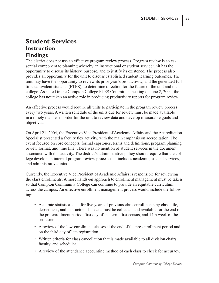# **Student Services Instruction Findings**

The district does not use an effective program review process. Program review is an essential component to planning whereby an instructional or student service unit has the opportunity to discuss its history, purpose, and to justify its existence. The process also provides an opportunity for the unit to discuss established student learning outcomes. The unit may have the opportunity to review its prior year's productivity, and the generated full time equivalent students (FTES), to determine direction for the future of the unit and the college. As stated in the Compton College FTES Committee meeting of June 2, 2004, the college has not taken an active role in producing productivity reports for program review.

An effective process would require all units to participate in the program review process every two years. A written schedule of the units due for review must be made available in a timely manner in order for the unit to review data and develop measurable goals and objectives.

On April 21, 2004, the Executive Vice President of Academic Affairs and the Accreditation Specialist presented a faculty flex activity, with the main emphasis on accreditation. The event focused on core concepts, formal capstones, terms and definitions, program planning review format, and time line. There was no mention of student services in the document associated with this activity. The district's administrative policy should require that the college develop an internal program review process that includes academic, student services, and administrative units.

Currently, the Executive Vice President of Academic Affairs is responsible for reviewing the class enrollments. A more hands-on approach to enrollment management must be taken so that Compton Community College can continue to provide an equitable curriculum across the campus. An effective enrollment management process would include the following:

- Accurate statistical data for five years of previous class enrollments by class title, department, and instructor. This data must be collected and available for the end of the pre-enrollment period, first day of the term, first census, and 14th week of the semester.
- A review of the low-enrollment classes at the end of the pre-enrollment period and on the third day of late registration.
- Written criteria for class cancellation that is made available to all division chairs, faculty, and scheduler.
- A review of the attendance accounting method of each class to check for accuracy.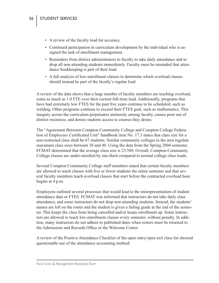- A review of the faculty load for accuracy.
- Continued participation in curriculum development by the individual who is assigned the task of enrollment management.
- Reminders from district administrators to faculty to take daily attendance and to drop all non-attending students immediately. Faculty must be reminded that attendance bookkeeping is part of their load.
- A full analysis of low-enrollment classes to determine which overload classes should instead be part of the faculty's regular load.

A review of the data shows that a large number of faculty members are teaching overload, some as much as 1.0 FTE over their current full-time load. Additionally, programs that have had extremely low FTES for the past five years continue to be scheduled, such as welding. Other programs continue to exceed their FTES goal, such as mathematics. This inequity across the curriculum perpetuates animosity among faculty, causes poor use of district resources, and denies students access to courses they desire.

The "Agreement Between Compton Community College and Compton College Federation of Employees Certificated Unit" handbook item No. 17.3 states that class size for a non-restricted class shall be 67 students. Similar community colleges in the area regulate maximum class sizes between 30 and 40. Using the data from the Spring 2004 semester, FCMAT determined that the average class size is 23.580. Overall, Compton Community College classes are under-enrolled by one-third compared to normal college class loads.

Several Compton Community College staff members stated that certain faculty members are allowed to teach classes with five or fewer students the entire semester and that several faculty members teach overload classes that start before the contracted overload hour begins at 4 p.m.

Employees outlined several processes that would lead to the misrepresentation of student attendance data or FTES. FCMAT was informed that instructors do not take daily class attendance, and some instructors do not drop non-attending students. Instead, the students' names are left on the roster and the student is given a failing grade at the end of the semester. This keeps the class from being cancelled and/or keeps enrollment up. Some instructors are allowed to teach low-enrollment classes every semester, without penalty. In addition, many instructors do not adhere to published dates when rosters must be returned to the Admissions and Records Office or the Welcome Center.

A review of the Positive Attendance Checklist of the open entry/open exit class list showed questionable use of the attendance accounting method: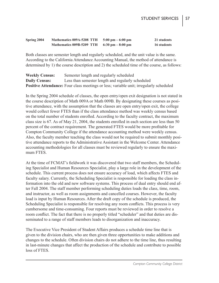| Spring 2004 | Mathematics 009A-5208 TTH | $5:00 \text{ pm} - 6:00 \text{ pm}$ | 21 students |
|-------------|---------------------------|-------------------------------------|-------------|
|             | Mathematics 009B-5209 TTH | $6:30 \text{ pm} - 8:00 \text{ pm}$ | 16 students |

Both classes are semester length and regularly scheduled, and the unit value is the same. According to the California Attendance Accounting Manual, the method of attendance is determined by 1) the course description and 2) the scheduled time of the course, as follows:

**Weekly Census:** Semester length and regularly scheduled **Daily Census:** Less than semester length and regularly scheduled **Positive Attendance:** Four class meetings or less; variable unit; irregularly scheduled

In the Spring 2004 schedule of classes, the open entry/open exit designation is not stated in the course description of Math 009A or Math 009B. By designating these courses as positive attendance, with the assumption that the classes are open entry/open exit, the college would collect fewer FTES than if the class attendance method was weekly census based on the total number of students enrolled. According to the faculty contract, the maximum class size is 67. As of May 21, 2004, the students enrolled in each section are less than 50 percent of the contract requirement. The generated FTES would be more profitable for Compton Community College if the attendance accounting method were weekly census. Also, the faculty member teaching the class would not be required to submit monthly positive attendance reports to the Administrative Assistant in the Welcome Center. Attendance accounting methodologies for all classes must be reviewed regularly to ensure the maximum FTES.

At the time of FCMAT's fieldwork it was discovered that two staff members, the Scheduling Specialist and Human Resources Specialist, play a large role in the development of the schedule. This current process does not ensure accuracy of load, which affects FTES and faculty salary. Currently, the Scheduling Specialist is responsible for loading the class information into the old and new software systems. This process of dual entry should end after Fall 2004. The staff member performing scheduling duties loads the class, time, room, and instructor, as well as room assignments and cancelled courses. However, the faculty load is input by Human Resources. After the draft copy of the schedule is produced, the Scheduling Specialist is responsible for resolving any room conflicts. This process is very cumbersome and time-consuming. Four reports must be reviewed in order to resolve a room conflict. The fact that there is no properly titled "scheduler" and that duties are disseminated to a range of staff members leads to disorganization and inaccuracy.

The Executive Vice President of Student Affairs produces a schedule time line that is given to the division chairs, who are then given three opportunities to make additions and changes to the schedule. Often division chairs do not adhere to the time line, thus resulting in last-minute changes that affect the production of the schedule and contribute to possible loss of FTES.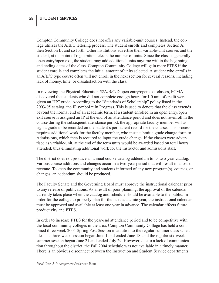Compton Community College does not offer any variable-unit courses. Instead, the college utilizes the A/B/C lettering process. The student enrolls and completes Section A, then Section B, and so forth. Other institutions advertise their variable-unit courses and the student, at the point of registration, elects the number of units. Since the class is generally open entry/open exit, the student may add additional units anytime within the beginning and ending dates of the class. Compton Community College will gain more FTES if the student enrolls and completes the initial amount of units selected. A student who enrolls in an A/B/C type course often will not enroll in the next section for several reasons, including lack of money, time, or dissatisfaction with the class.

In reviewing the Physical Education 52A/B/C/D open entry/open exit classes, FCMAT discovered that students who did not complete enough hours for 1.0 unit of credit were given an "IP" grade. According to the "Standards of Scholarship" policy listed in the 2003-05 catalog, the IP symbol = In Progress. This is used to denote that the class extends beyond the normal end of an academic term. If a student enrolled in an open entry/open exit course is assigned an IP at the end of an attendance period and does not re-enroll in the course during the subsequent attendance period, the appropriate faculty member will assign a grade to be recorded on the student's permanent record for the course. This process requires additional work for the faculty member, who must submit a grade change form to Admissions, which then is required to input the grade change. If the classes were advertised as variable-unit, at the end of the term units would be awarded based on total hours attended, thus eliminating additional work for the instructor and admissions staff.

The district does not produce an annual course catalog addendum to its two-year catalog. Various course additions and changes occur in a two-year period that will result in a loss of revenue. To keep the community and students informed of any new program(s), courses, or changes, an addendum should be produced.

The Faculty Senate and the Governing Board must approve the instructional calendar prior to any release of publications. As a result of poor planning, the approval of the calendar currently takes place when the catalog and schedule should be available to the public. In order for the college to properly plan for the next academic year, the instructional calendar must be approved and available at least one year in advance. The calendar affects future productivity and FTES.

In order to increase FTES for the year-end attendance period and to be competitive with the local community colleges in the area, Compton Community College has held a combined three-week 2004 Spring Post Session in addition to the regular summer class schedule. The three-week session began June 1 and ended June 18, and the regular six-week summer session began June 21 and ended July 29. However, due to a lack of communication throughout the district, the Fall 2004 schedule was not available in a timely manner. There is an obvious disconnect between the Instruction and Student Service departments.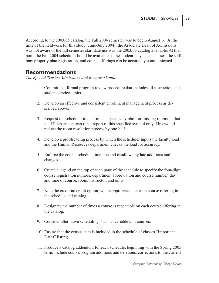According to the 2003/05 catalog, the Fall 2004 semester was to begin August 16. At the time of the fieldwork for this study (June-July 2004), the Associate Dean of Admissions was not aware of the fall semester start date nor was the 2003/05 catalog available. At that point the Fall 2004 schedule should be available so the student may select classes, the staff may properly plan registration, and course offerings can be accurately communicated.

## **Recommendations**

*The Special Trustee/Admissions and Records should:*

- 1. Commit to a formal program review procedure that includes all instruction and student services units.
- 2. Develop an effective and consistent enrollment management process as described above.
- 3. Request the scheduler to determine a specific symbol for missing rooms so that the IT department can run a report of this specified symbol only. This would reduce the room resolution process by one-half.
- 4. Develop a proofreading process by which the scheduler inputs the faculty load and the Human Resources department checks the load for accuracy.
- 5. Enforce the course schedule time line and disallow any late additions and changes.
- 6. Create a legend on the top of each page of the schedule to specify the four-digit course registration number, department abbreviation and course number, day and time of course, room, instructor, and units.
- 7. Note the credit/no credit option, where appropriate, on each course offering in the schedule and catalog.
- 8. Designate the number of times a course is repeatable on each course offering in the catalog.
- 9. Consider alternative scheduling, such as variable unit courses.
- 10. Ensure that the census date is included in the schedule of classes "Important Dates" listing.
- 11. Produce a catalog addendum for each schedule, beginning with the Spring 2005 term. Include course/program additions and deletions, corrections to the current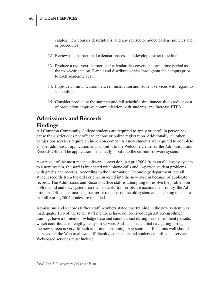catalog, new courses descriptions, and any revised or added college policies and or procedures.

- 12. Review the instructional calendar process and develop a strict time line.
- 13. Produce a two-year instructional calendar that covers the same time period as the two-year catalog. E-mail and distribute copies throughout the campus prior to each academic year.
- 14. Improve communication between instruction and student services with regard to scheduling.
- 15. Consider producing the summer and fall schedule simultaneously to reduce cost of production, improve communication with students, and increase FTES.

## **Admissions and Records Findings**

All Compton Community College students are required to apply or enroll in person because the district does not offer telephone or online registration. Additionally, all other admissions services require an in-person contact. All new students are required to complete a paper admissions application and submit it to the Welcome Center or the Admissions and Records Office. The application is manually input into the current software system.

As a result of the most recent software conversion in April 2004 from an old legacy system to a new system, the staff is inundated with phone calls and in-person student problems with grades and records. According to the Information Technology department, not all student records from the old system converted into the new system because of duplicate records. The Admissions and Records Office staff is attempting to resolve the problem on both the old and new systems so that students' transcripts are accurate. Currently, the Admissions Office is processing transcript requests on the old system and checking to ensure that all Spring 2004 grades are included.

Admissions and Records Office staff members stated that training in the new system was inadequate. Two of the seven staff members have not received registration/enrollment training, have a limited knowledge base and cannot assist during peak enrollment periods, which contributes to lengthy delays in service. Staff also stated that navigating through the new screen is very difficult and time-consuming. A system that functions well should be based on the Web to allow staff, faculty, counselors and students to utilize its services. Web-based services must include: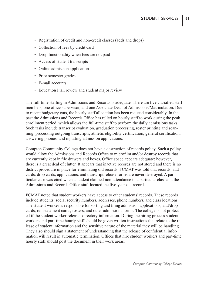- Registration of credit and non-credit classes (adds and drops)
- Collection of fees by credit card
- Drop functionality when fees are not paid
- Access of student transcripts
- Online admission application
- Prior semester grades
- E-mail accounts
- Education Plan review and student major review

The full-time staffing in Admissions and Records is adequate. There are five classified staff members, one office supervisor, and one Associate Dean of Admissions/Matriculation. Due to recent budgetary cuts, the hourly staff allocation has been reduced considerably. In the past the Admissions and Records Office has relied on hourly staff to work during the peak enrollment period, which allows the full-time staff to perform the daily admissions tasks. Such tasks include transcript evaluation, graduation processing, roster printing and scanning, processing outgoing transcripts, athletic eligibility certification, general certification, answering phones, and inputting admission applications.

Compton Community College does not have a destruction of records policy. Such a policy would allow the Admissions and Records Office to microfilm and/or destroy records that are currently kept in file drawers and boxes. Office space appears adequate; however, there is a great deal of clutter. It appears that inactive records are not stored and there is no district procedure in place for eliminating old records. FCMAT was told that records, add cards, drop cards, applications, and transcript release forms are never destroyed. A particular case was cited when a student claimed non-attendance in a particular class and the Admissions and Records Office staff located the five-year-old record.

FCMAT noted that student workers have access to other students' records. These records include students' social security numbers, addresses, phone numbers, and class locations. The student worker is responsible for sorting and filing admission applications, add/drop cards, reinstatement cards, rosters, and other admissions forms. The college is not protected if the student worker releases directory information. During the hiring process student workers and part-time hourly staff should be given written instructions that relate to the release of student information and the sensitive nature of the material they will be handling. They also should sign a statement of understanding that the release of confidential information will result in automatic termination. Offices that hire student workers and part-time hourly staff should post the document in their work areas.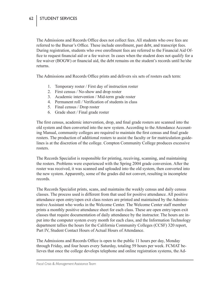The Admissions and Records Office does not collect fees. All students who owe fees are referred to the Bursar's Office. These include enrollment, past debt, and transcript fees. During registration, students who owe enrollment fees are referred to the Financial Aid Office to request financial aid or a fee waiver. In cases when the student does not qualify for a fee waiver (BOGW) or financial aid, the debt remains on the student's records until he/she returns.

The Admissions and Records Office prints and delivers six sets of rosters each term:

- 1. Temporary roster / First day of instruction roster
- 2. First census / No-show and drop roster
- 3. Academic intervention / Mid-term grade roster
- 4. Permanent roll / Verification of students in class
- 5. Final census / Drop roster
- 6. Grade sheet / Final grade roster

The first census, academic intervention, drop, and final grade rosters are scanned into the old system and then converted into the new system. According to the Attendance Accounting Manual, community colleges are required to maintain the first census and final grade rosters. The production of additional rosters to assist the faculty or for matriculation guidelines is at the discretion of the college. Compton Community College produces excessive rosters.

The Records Specialist is responsible for printing, receiving, scanning, and maintaining the rosters. Problems were experienced with the Spring 2004 grade conversion. After the roster was received, it was scanned and uploaded into the old system, then converted into the new system. Apparently, some of the grades did not convert, resulting in incomplete records.

The Records Specialist prints, scans, and maintains the weekly census and daily census classes. The process used is different from that used for positive attendance. All positive attendance open entry/open exit class rosters are printed and maintained by the Administrative Assistant who works in the Welcome Center. The Welcome Center staff member prints a monthly positive attendance sheet for each class. These are open entry/open exit classes that require documentation of daily attendance by the instructor. The hours are input into the computer system every month for each class, and the Information Technology department tallies the hours for the California Community Colleges (CCSF) 320 report, Part IV, Student Contact Hours of Actual Hours of Attendance.

The Admissions and Records Office is open to the public 11 hours per day, Monday through Friday, and four hours every Saturday, totaling 59 hours per week. FCMAT believes that once the college develops telephone and online registration systems, the Ad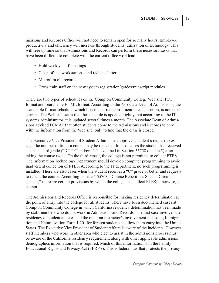missions and Records Office will not need to remain open for so many hours. Employee productivity and efficiency will increase through students' utilization of technology. This will free up time so that Admissions and Records can perform these necessary tasks that have been difficult to complete with the current office workload:

- Hold weekly staff meetings
- Clean office, workstations, and reduce clutter
- Microfilm old records
- Cross train staff on the new system registration/grades/transcript modules

There are two types of schedules on the Compton Community College Web site: PDF format and searchable HTML format. According to the Associate Dean of Admissions, the searchable format schedule, which lists the current enrollment in each section, is not kept current. The Web site states that the schedule is updated nightly, but according to the IT systems administrator, it is updated several times a month. The Associate Dean of Admissions advised FCMAT that often students come to the Admissions and Records to enroll with the information from the Web site, only to find that the class is closed.

The Executive Vice President of Student Affairs must approve a student's request to exceed the number of times a course may be repeated. In most cases the student has received a substandard grade ("D," "F" and/or "N" as defined in Section 55758 of Title 5) after taking the course twice. On the third repeat, the college is not permitted to collect FTES. The Information Technology Department should develop computer programming to avoid inadvertent collection of FTES. According to the IT department, no such programming is installed. There are also cases when the student receives a "C" grade or better and requests to repeat the course. According to Title 5 55763, "Course Repetition: Special Circumstances," there are certain provisions by which the college can collect FTES; otherwise, it cannot.

The Admissions and Records Office is responsible for making residency determination at the point of entry into the college for all students. There have been documented cases at Compton Community College in which California residency determination has been made by staff members who do not work in Admissions and Records. The first case involves the residency of student athletes and the other an instructor's involvement in issuing Immigration and Naturalization Form I-20s for foreign students to allow them entry into the United States. The Executive Vice President of Student Affairs is aware of the incidents. However, staff members who work in other area who elect to assist in the admissions process must be aware of the California residency requirement along with other applicable admissions demographics information that is required. Much of this information is in the Family Educational Rights and Privacy Act (FERPA). This is federal law that protects the privacy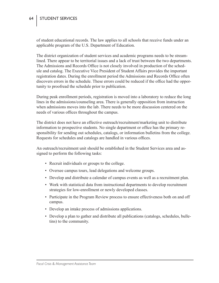### 64 | STUDENT SERVICES

of student educational records. The law applies to all schools that receive funds under an applicable program of the U.S. Department of Education.

The district organization of student services and academic programs needs to be streamlined. There appear to be territorial issues and a lack of trust between the two departments. The Admissions and Records Office is not closely involved in production of the schedule and catalog. The Executive Vice President of Student Affairs provides the important registration dates. During the enrollment period the Admissions and Records Office often discovers errors in the schedule. These errors could be reduced if the office had the opportunity to proofread the schedule prior to publication.

During peak enrollment periods, registration is moved into a laboratory to reduce the long lines in the admissions/counseling area. There is generally opposition from instruction when admissions moves into the lab. There needs to be more discussion centered on the needs of various offices throughout the campus.

The district does not have an effective outreach/recruitment/marketing unit to distribute information to prospective students. No single department or office has the primary responsibility for sending out schedules, catalogs, or information bulletins from the college. Requests for schedules and catalogs are handled in various offices.

An outreach/recruitment unit should be established in the Student Services area and assigned to perform the following tasks:

- Recruit individuals or groups to the college.
- Oversee campus tours, lead delegations and welcome groups.
- Develop and distribute a calendar of campus events as well as a recruitment plan.
- Work with statistical data from instructional departments to develop recruitment strategies for low-enrollment or newly developed classes.
- Participate in the Program Review process to ensure effectiveness both on and off campus.
- Develop an intake process of admissions applications.
- Develop a plan to gather and distribute all publications (catalogs, schedules, bulletins) to the community.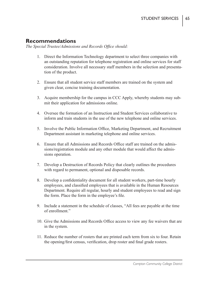### **Recommendations**

*The Special Trustee/Admissions and Records Office should:* 

- 1. Direct the Information Technology department to select three companies with an outstanding reputation for telephone registration and online services for staff consideration. Involve all necessary staff members in the selection and presentation of the product.
- 2. Ensure that all student service staff members are trained on the system and given clear, concise training documentation.
- 3. Acquire membership for the campus in CCC Apply, whereby students may submit their application for admissions online.
- 4. Oversee the formation of an Instruction and Student Services collaborative to inform and train students in the use of the new telephone and online services.
- 5. Involve the Public Information Office, Marketing Department, and Recruitment Department assistant in marketing telephone and online services.
- 6. Ensure that all Admissions and Records Office staff are trained on the admissions/registration module and any other module that would affect the admissions operation.
- 7. Develop a Destruction of Records Policy that clearly outlines the procedures with regard to permanent, optional and disposable records.
- 8. Develop a confidentiality document for all student workers, part-time hourly employees, and classified employees that is available in the Human Resources Department. Require all regular, hourly and student employees to read and sign the form. Place the form in the employee's file.
- 9. Include a statement in the schedule of classes, "All fees are payable at the time of enrollment."
- 10. Give the Admissions and Records Office access to view any fee waivers that are in the system.
- 11. Reduce the number of rosters that are printed each term from six to four. Retain the opening/first census, verification, drop roster and final grade rosters.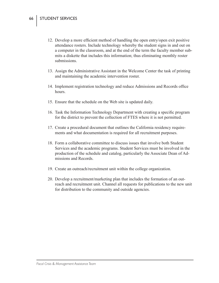- 12. Develop a more efficient method of handling the open entry/open exit positive attendance rosters. Include technology whereby the student signs in and out on a computer in the classroom, and at the end of the term the faculty member submits a diskette that includes this information; thus eliminating monthly roster submissions.
- 13. Assign the Administrative Assistant in the Welcome Center the task of printing and maintaining the academic intervention roster.
- 14. Implement registration technology and reduce Admissions and Records office hours.
- 15. Ensure that the schedule on the Web site is updated daily.
- 16. Task the Information Technology Department with creating a specific program for the district to prevent the collection of FTES where it is not permitted.
- 17. Create a procedural document that outlines the California residency requirements and what documentation is required for all recruitment purposes.
- 18. Form a collaborative committee to discuss issues that involve both Student Services and the academic programs. Student Services must be involved in the production of the schedule and catalog, particularly the Associate Dean of Admissions and Records.
- 19. Create an outreach/recruitment unit within the college organization.
- 20. Develop a recruitment/marketing plan that includes the formation of an outreach and recruitment unit. Channel all requests for publications to the new unit for distribution to the community and outside agencies.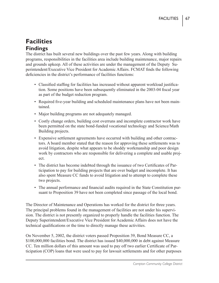# **Facilities Findings**

The district has built several new buildings over the past few years. Along with building programs, responsibilities in the facilities area include building maintenance, major repairs and grounds upkeep. All of these activities are under the management of the Deputy Superintendent/Executive Vice President for Academic Affairs. FCMAT finds the following deficiencies in the district's performance of facilities functions:

- Classified staffing for facilities has increased without apparent workload justification. Some positions have been subsequently eliminated in the 2003-04 fiscal year as part of the budget reduction program.
- Required five-year building and scheduled maintenance plans have not been maintained.
- Major building programs are not adequately managed.
- Costly change orders, building cost overruns and incomplete contractor work have been permitted on the state bond-funded vocational technology and Science/Math Building projects.
- Εxpensive settlement agreements have occurred with building and other contractors. A board member stated that the reason for approving these settlements was to avoid litigation, despite what appears to be shoddy workmanship and poor design work by contractors who are responsible for delivering a complete and usable project.
- The district has become indebted through the issuance of two Certificates of Participation to pay for building projects that are over budget and incomplete. It has also spent Measure CC funds to avoid litigation and to attempt to complete these two projects.
- The annual performance and financial audits required in the State Constitution pursuant to Proposition 39 have not been completed since passage of the local bond.

The Director of Maintenance and Operations has worked for the district for three years. The principal problems found in the management of facilities are not under his supervision. The district is not presently organized to properly handle the facilities function. The Deputy Superintendent/Executive Vice President for Academic Affairs does not have the technical qualifications or the time to directly manage these activities.

On November 5, 2002, the district voters passed Proposition 39, Bond Measure CC, a \$100,000,000 facilities bond. The district has issued \$40,000,000 in debt against Measure CC. Ten million dollars of this amount was used to pay off two earlier Certificate of Participation (COP) loans that were used to pay for lawsuit settlements and for other purposes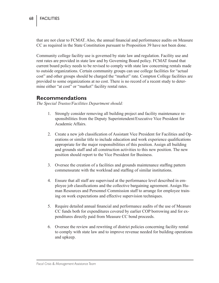that are not clear to FCMAT. Also, the annual financial and performance audits on Measure CC as required in the State Constitution pursuant to Proposition 39 have not been done.

Community college facility use is governed by state law and regulation. Facility use and rent rates are provided in state law and by Governing Board policy. FCMAT found that current board policy needs to be revised to comply with state law concerning rentals made to outside organizations. Certain community groups can use college facilities for "actual cost" and other groups should be charged the "market" rate. Compton College facilities are provided to some organizations at no cost. There is no record of a recent study to determine either "at cost" or "market" facility rental rates.

### **Recommendations**

*The Special Trustee/Facilities Department should:*

- 1. Strongly consider removing all building project and facility maintenance responsibilities from the Deputy Superintendent/Executive Vice President for Academic Affairs.
- 2. Create a new job classification of Assistant Vice President for Facilities and Operations or similar title to include education and work experience qualifications appropriate for the major responsibilities of this position. Assign all building and grounds staff and all construction activities to this new position. The new position should report to the Vice President for Business.
- 3. Oversee the creation of a facilities and grounds maintenance staffing pattern commensurate with the workload and staffing of similar institutions.
- 4. Ensure that all staff are supervised at the performance level described in employee job classifications and the collective bargaining agreement. Assign Human Resources and Personnel Commission staff to arrange for employee training on work expectations and effective supervision techniques.
- 5. Require detailed annual financial and performance audits of the use of Measure CC funds both for expenditures covered by earlier COP borrowing and for expenditures directly paid from Measure CC bond proceeds.
- 6. Oversee the review and rewriting of district policies concerning facility rental to comply with state law and to improve revenue needed for building operations and upkeep.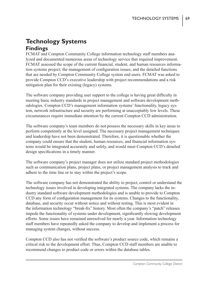# **Technology Systems Findings**

FCMAT and Compton Community College information technology staff members analyzed and documented numerous areas of technology service that required improvement. FCMAT assessed the scope of the current financial, student, and human resources information systems project; the management of configuration issues; and the detailed functions that are needed by Compton Community College system end users. FCMAT was asked to provide Compton CCD's executive leadership with project recommendations and a risk mitigation plan for their existing (legacy) systems.

The software company providing user support to the college is having great difficulty in meeting basic industry standards in project management and software development methodologies. Compton CCD's management information systems' functionality, legacy system, network infrastructure and security are performing at unacceptably low levels. These circumstances require immediate attention by the current Compton CCD administration.

The software company's team members do not possess the necessary skills in key areas to perform competently at the level assigned. The necessary project management techniques and leadership have not been demonstrated. Therefore, it is questionable whether the company could ensure that the student, human resources, and financial information systems would be integrated accurately and safely, and would meet Compton CCD's detailed design specifications in a timely manner.

The software company's project manager does not utilize standard project methodologies such as communication plans, project plans, or project management analysis to track and adhere to the time line or to stay within the project's scope.

The software company has not demonstrated the ability to project, control or understand the technology issues involved in developing integrated systems. The company lacks the industry standard software development methodologies and is unable to provide to Compton CCD any form of configuration management for its systems. Changes to the functionality, database, and security occur without notice and without testing. This is most evident in the information technology "break-fix" history. Most often the company's "patch" releases impede the functionality of systems under development, significantly slowing development efforts. Some issues have remained unresolved for nearly a year. Information technology staff members have repeatedly asked the company to develop and implement a process for managing system changes, without success.

Compton CCD also has not verified the software's product source code, which remains a critical risk to the development effort. Thus, Compton CCD staff members are unable to recommend changes to product code or errors within the database tables.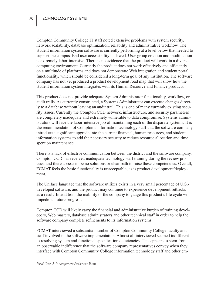Compton Community College IT staff noted extensive problems with system security, network scalability, database optimization, reliability and administrative workflow. The student information system software is currently performing at a level below that needed to support the campus. End user accessibility is flawed. User group creation and modification is extremely labor-intensive. There is no evidence that the product will work in a diverse computing environment. Currently the product does not work effectively and efficiently on a multitude of platforms and does not demonstrate Web integration and student portal functionality, which should be considered a long-term goal of any institution. The software company has not yet produced a product development road map that will show how the student information system integrates with its Human Resource and Finance products.

This product does not provide adequate System Administrator functionality, workflow, or audit trails. As currently constructed, a Systems Administrator can execute changes directly to a database without leaving an audit trail. This is one of many currently existing security issues. Currently the Compton CCD network, infrastructure, and security parameters are completely inadequate and extremely vulnerable to data compromise. Systems administrators will face the labor-intensive job of maintaining each of the disparate systems. It is the recommendation of Compton's information technology staff that the software company introduce a significant upgrade into the current financial, human resources, and student information systems to add the necessary security to reduce resource allocation and time spent on maintenance.

There is a lack of effective communication between the district and the software company. Compton CCD has received inadequate technology staff training during the review process, and there appear to be no solutions or clear path to raise these competencies. Overall, FCMAT feels the basic functionality is unacceptable, as is product development/deployment.

The Uniface language that the software utilizes exists in a very small percentage of U.S. developed software, and the product may continue to experience development setbacks as a result. In addition, the inability of the company to gauge this product's life cycle will impede its future progress.

Compton CCD will likely carry the financial and administrative burden of training developers, Web masters, database administrators and other technical staff in order to help the software company complete refinements to its information systems.

FCMAT interviewed a substantial number of Compton Community College faculty and staff involved in the software implementation. Almost all interviewed seemed indifferent to resolving system and functional specification deficiencies. This appears to stem from an observable indifference that the software company representatives convey when they interface with Compton Community College information technology staff and other em-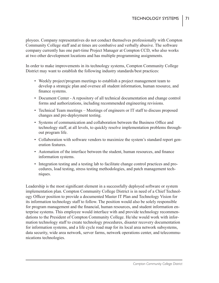ployees. Company representatives do not conduct themselves professionally with Compton Community College staff and at times are combative and verbally abusive. The software company currently has one part-time Project Manager at Compton CCD, who also works at two other development locations and has multiple programming assignments.

In order to make improvements in its technology systems, Compton Community College District may want to establish the following industry standards/best practices:

- Weekly project/program meetings to establish a project management team to develop a strategic plan and oversee all student information, human resource, and finance systems.
- Document Center A repository of all technical documentation and change control forms and authorizations, including recommended engineering revisions.
- Technical Team meetings Meetings of engineers or IT staff to discuss proposed changes and pre-deployment testing.
- Systems of communication and collaboration between the Business Office and technology staff, at all levels, to quickly resolve implementation problems throughout program life.
- Collaboration with software vendors to maximize the system's standard report generation features.
- Automation of the interface between the student, human resources, and finance information systems.
- Integration testing and a testing lab to facilitate change control practices and procedures, load testing, stress testing methodologies, and patch management techniques.

Leadership is the most significant element in a successfully deployed software or system implementation plan. Compton Community College District is in need of a Chief Technology Officer position to provide a documented Master IT Plan and Technology Vision for its information technology staff to follow. The position would also be solely responsible for program management and the financial, human resources, and student information enterprise systems. This employee would interface with and provide technology recommendations to the President of Compton Community College. He/she would work with information technology staff to create technology procedures, disaster recovery documentation for information systems, and a life cycle road map for its local area network subsystems, data security, wide area network, server farms, network operations center, and telecommunications technologies.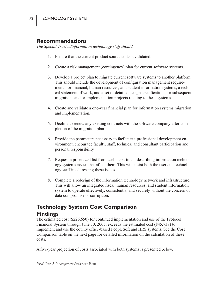## **Recommendations**

*The Special Trustee/information technology staff should:*

- 1. Ensure that the current product source code is validated.
- 2. Create a risk management (contingency) plan for current software systems.
- 3. Develop a project plan to migrate current software systems to another platform. This should include the development of configuration management requirements for financial, human resources, and student information systems, a technical statement of work, and a set of detailed design specifications for subsequent migrations and or implementation projects relating to these systems.
- 4. Create and validate a one-year financial plan for information systems migration and implementation.
- 5. Decline to renew any existing contracts with the software company after completion of the migration plan.
- 6. Provide the parameters necessary to facilitate a professional development environment, encourage faculty, staff, technical and consultant participation and personal responsibility.
- 7. Request a prioritized list from each department describing information technology systems issues that affect them. This will assist both the user and technology staff in addressing these issues.
- 8. Complete a redesign of the information technology network and infrastructure. This will allow an integrated fiscal, human resources, and student information system to operate effectively, consistently, and securely without the concern of data compromise or corruption.

# **Technology System Cost Comparison Findings**

The estimated cost (\$226,650) for continued implementation and use of the Protocol Financial System through June 30, 2005, exceeds the estimated cost (\$45,738) to implement and use the county office-based PeopleSoft and HRS systems. See the Cost Comparison table on the next page for detailed information on the calculation of these costs.

A five-year projection of costs associated with both systems is presented below.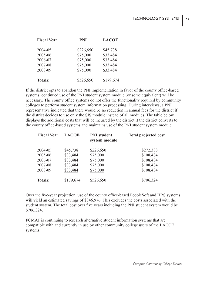| <b>Fiscal Year</b> | <b>PNI</b> | <b>LACOE</b> |  |  |  |
|--------------------|------------|--------------|--|--|--|
| 2004-05            | \$226,650  | \$45,738     |  |  |  |
| 2005-06            | \$75,000   | \$33,484     |  |  |  |
| 2006-07            | \$75,000   | \$33,484     |  |  |  |
| 2007-08            | \$75,000   | \$33,484     |  |  |  |
| 2008-09            | \$75,000   | \$33,484     |  |  |  |
| <b>Totals:</b>     | \$526,650  | \$179,674    |  |  |  |

If the district opts to abandon the PNI implementation in favor of the county office-based systems, continued use of the PNI student system module (or some equivalent) will be necessary. The county office systems do not offer the functionality required by community colleges to perform student system information processing. During interviews, a PNI representative indicated that there would be no reduction in annual fees for the district if the district decides to use only the SIS module instead of all modules. The table below displays the additional costs that will be incurred by the district if the district converts to the county office-based systems and maintains use of the PNI student system module.

| <b>Fiscal Year</b> | <b>LACOE</b> | <b>PNI</b> student<br>system module | <b>Total projected cost</b> |  |  |  |  |
|--------------------|--------------|-------------------------------------|-----------------------------|--|--|--|--|
| 2004-05            | \$45,738     | \$226,650                           | \$272,388                   |  |  |  |  |
| 2005-06            | \$33,484     | \$75,000                            | \$108,484                   |  |  |  |  |
| 2006-07            | \$33,484     | \$75,000                            | \$108,484                   |  |  |  |  |
| 2007-08            | \$33,484     | \$75,000                            | \$108,484                   |  |  |  |  |
| 2008-09            | \$33,484     | \$75,000                            | \$108,484                   |  |  |  |  |
| <b>Totals:</b>     | \$179,674    | \$526,650                           | \$706,324                   |  |  |  |  |

Over the five-year projection, use of the county office-based PeopleSoft and HRS systems will yield an estimated savings of \$346,976. This excludes the costs associated with the student system. The total cost over five years including the PNI student system would be \$706,324.

FCMAT is continuing to research alternative student information systems that are compatible with and currently in use by other community college users of the LACOE systems.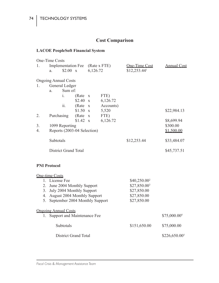## **Cost Comparison**

### **LACOE PeopleSoft Financial System**

|                             | One-Time Costs                             |                |          |              |                                           |                    |  |
|-----------------------------|--------------------------------------------|----------------|----------|--------------|-------------------------------------------|--------------------|--|
| 1.                          | Implementation Fee<br>$$2.00 \times$<br>a. |                | 6,126.72 | (Rate x FTE) | One-Time Cost<br>\$12,253.44 <sup>1</sup> | <b>Annual Cost</b> |  |
|                             | <b>Ongoing Annual Costs</b>                |                |          |              |                                           |                    |  |
| 1.                          | General Ledger                             |                |          |              |                                           |                    |  |
|                             | Sum of:<br>a.                              |                |          |              |                                           |                    |  |
|                             | $\mathbf{1}$ .                             | (Rate x)       |          | FTE)         |                                           |                    |  |
|                             |                                            | $$2.40 \times$ |          | 6,126.72     |                                           |                    |  |
|                             | ii.                                        | (Rate x)       |          | Accounts)    |                                           |                    |  |
|                             |                                            | \$1.50 x       |          | 5,520        |                                           | \$22,984.13        |  |
| 2.                          | Purchasing                                 | (Rate x)       |          | FTE)         |                                           |                    |  |
|                             |                                            | $$1.42 \; x$   |          | 6,126.72     |                                           | \$8,699.94         |  |
| 3.                          | 1099 Reporting                             |                |          |              |                                           | \$300.00           |  |
| $\overline{4}$ .            | Reports (2003-04 Selection)                |                |          |              |                                           | \$1,500.00         |  |
|                             | Subtotals                                  |                |          |              | \$12,253.44                               | \$33,484.07        |  |
|                             |                                            |                |          |              |                                           |                    |  |
| <b>District Grand Total</b> |                                            |                |          |              |                                           | \$45,737.51        |  |
|                             | <b>PNI Protocol</b>                        |                |          |              |                                           |                    |  |
|                             |                                            |                |          |              |                                           |                    |  |
|                             | One-time Costs                             |                |          |              |                                           |                    |  |
|                             | 1. License Fee                             |                |          |              | \$40,250.00 <sup>2</sup>                  |                    |  |
|                             | 2. June 2004 Monthly Support               |                |          |              | \$27,850.003                              |                    |  |
|                             | 3. July 2004 Monthly Support               |                |          |              | \$27,850.00                               |                    |  |
|                             | 4. August 2004 Monthly Support             |                |          |              | \$27,850.00                               |                    |  |
|                             | 5. September 2004 Monthly Support          |                |          |              | \$27,850.00                               |                    |  |
|                             | <b>Ongoing Annual Costs</b>                |                |          |              |                                           |                    |  |
| 1.                          | Support and Maintenance Fee                |                |          |              |                                           | \$75,000.004       |  |
|                             | Subtotals                                  |                |          |              | \$151,650.00                              | \$75,000.00        |  |
|                             | <b>District Grand Total</b>                |                |          |              |                                           | \$226,650.005      |  |
|                             |                                            |                |          |              |                                           |                    |  |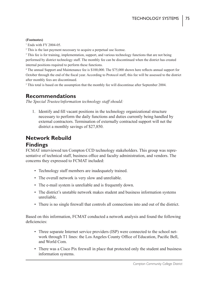### **(Footnotes)**

1 Ends with FY 2004-05.

<sup>2</sup> This is the last payment necessary to acquire a perpetual use license.

<sup>3</sup> This fee is for training, implementation, support, and various technology functions that are not being performed by district technology staff. The monthly fee can be discontinued when the district has created internal positions required to perform these functions.

4 The annual Support and Maintenance fee is \$100,000. The \$75,000 shown here reflects annual support for October through the end of the fiscal year. According to Protocol staff, this fee will be assessed to the district after monthly fees are discontinued.

<sup>5</sup> This total is based on the assumption that the monthly fee will discontinue after September 2004.

## **Recommendations**

*The Special Trustee/information technology staff should:*

1. Identify and fill vacant positions in the technology organizational structure necessary to perform the daily functions and duties currently being handled by external contractors. Termination of externally contracted support will net the district a monthly savings of \$27,850.

## **Network Rebuild Findings**

FCMAT interviewed ten Compton CCD technology stakeholders. This group was representative of technical staff, business office and faculty administration, and vendors. The concerns they expressed to FCMAT included:

- Technology staff members are inadequately trained.
- The overall network is very slow and unreliable.
- The e-mail system is unreliable and is frequently down.
- The district's unstable network makes student and business information systems unreliable.
- There is no single firewall that controls all connections into and out of the district.

Based on this information, FCMAT conducted a network analysis and found the following deficiencies:

- Three separate Internet service providers (ISP) were connected to the school network through T1 lines: the Los Angeles County Office of Education, Pacific Bell, and World Com.
- There was a Cisco Pix firewall in place that protected only the student and business information systems.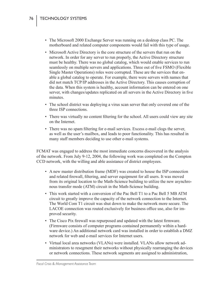- The Microsoft 2000 Exchange Server was running on a desktop class PC. The motherboard and related computer components would fail with this type of usage.
- Microsoft Active Directory is the core structure of the servers that run on the network. In order for any server to run properly, the Active Directory structure must be healthy. There was no global catalog, which would enable services to run seamlessly on multiple servers and applications. Three out of five FSMO (Flexible Single Master Operations) roles were corrupted. These are the services that enable a global catalog to operate. For example, there were servers with names that did not match TCP/IP addresses in the Active Directory. This causes corruption of the data. When this system is healthy, account information can be entered on one server, with changes/updates replicated on all servers in the Active Directory in five minutes.
- The school district was deploying a virus scan server that only covered one of the three ISP connections.
- There was virtually no content filtering for the school. All users could view any site on the Internet.
- There was no spam filtering for e-mail services. Excess e-mail clogs the server, as well as the user's mailbox, and leads to poor functionality. This has resulted in many staff members deciding to use other e-mail systems.

FCMAT was engaged to address the most immediate concerns discovered in the analysis of the network. From July 9-12, 2004, the following work was completed on the Compton CCD network, with the willing and able assistance of district employees.

- A new master distribution frame (MDF) was created to house the ISP connection and related firewall, filtering, and server equipment for all users. It was moved from its original location to the Math-Science building to utilize the new asynchronous transfer mode (ATM) circuit in the Math-Science building.
- This work started with a conversion of the Pac Bell T1 to a Pac Bell 5 MB ATM circuit to greatly improve the capacity of the network connection to the Internet. The World Com T1 circuit was shut down to make the network more secure. The LACOE connection was routed exclusively for business office use, also for improved security.
- The Cisco Pix firewall was repurposed and updated with the latest firmware. (Firmware consists of computer programs contained permanently within a hardware device.) An additional network card was installed in order to establish a DMZ network for web and e-mail services for Internet users.
- Virtual local area networks (VLANs) were installed. VLANs allow network administrators to resegment their networks without physically rearranging the devices or network connections. These network segments are assigned to administration,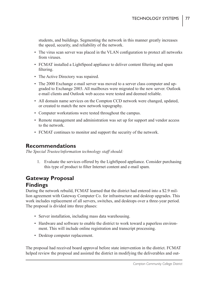students, and buildings. Segmenting the network in this manner greatly increases the speed, security, and reliability of the network.

- The virus scan server was placed in the VLAN configuration to protect all networks from viruses.
- FCMAT installed a LightSpeed appliance to deliver content filtering and spam filtering.
- The Active Directory was repaired.
- The 2000 Exchange e-mail server was moved to a server class computer and upgraded to Exchange 2003. All mailboxes were migrated to the new server. Outlook e-mail clients and Outlook web access were tested and deemed reliable.
- All domain name services on the Compton CCD network were changed, updated, or created to match the new network topography.
- Computer workstations were tested throughout the campus.
- Remote management and administration was set up for support and vendor access to the network.
- FCMAT continues to monitor and support the security of the network.

## **Recommendations**

*The Special Trustee/information technology staff should:*

1. Evaluate the services offered by the LightSpeed appliance. Consider purchasing this type of product to filter Internet content and e-mail spam.

# **Gateway Proposal Findings**

During the network rebuild, FCMAT learned that the district had entered into a \$2.9 million agreement with Gateway Computer Co. for infrastructure and desktop upgrades. This work includes replacement of all servers, switches, and desktops over a three-year period. The proposal is divided into three phases:

- Server installation, including mass data warehousing.
- Hardware and software to enable the district to work toward a paperless environment. This will include online registration and transcript processing.
- Desktop computer replacement.

The proposal had received board approval before state intervention in the district. FCMAT helped review the proposal and assisted the district in modifying the deliverables and out-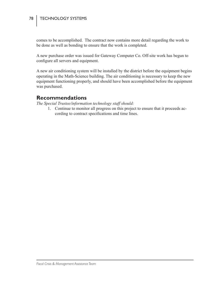## 78 | TECHNOLOGY SYSTEMS

comes to be accomplished. The contract now contains more detail regarding the work to be done as well as bonding to ensure that the work is completed.

A new purchase order was issued for Gateway Computer Co. Off-site work has begun to configure all servers and equipment.

A new air conditioning system will be installed by the district before the equipment begins operating in the Math-Science building. The air conditioning is necessary to keep the new equipment functioning properly, and should have been accomplished before the equipment was purchased.

## **Recommendations**

*The Special Trustee/information technology staff should:*

1. Continue to monitor all progress on this project to ensure that it proceeds according to contract specifications and time lines.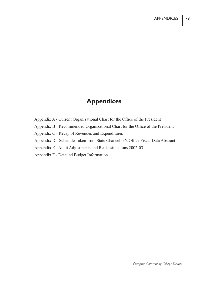# **Appendices**

- Appendix A Current Organizational Chart for the Office of the President
- Appendix B Recommended Organizational Chart for the Office of the President
- Appendix C Recap of Revenues and Expenditures
- Appendix D Schedule Taken from State Chancellor's Office Fiscal Data Abstract
- Appendix E Audit Adjustments and Reclassifications 2002-03
- Appendix F Detailed Budget Information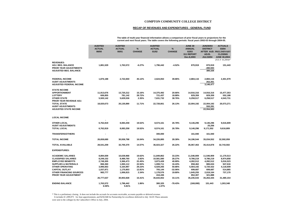#### **COMPTON COMMUNITY COLLEGE DISTRICT**

#### **RECAP OF REVENUES AND EXPENDITURES - GENERAL FUND**

**The table of multi-year financial information allows a comparison of prior fiscal years to projections for the current and next fiscal years. The table covers the following periods: fiscal years 2002-03 through 2004-05.**

|                                 | <b>AUDITED</b> | <b>AUDITED</b> |               | <b>AUDITED</b> |               | <b>JUNE 30</b> | <b>JUN/30/03</b> | <b>ACTUALS</b>                |
|---------------------------------|----------------|----------------|---------------|----------------|---------------|----------------|------------------|-------------------------------|
|                                 | <b>ACTUAL</b>  | <b>ACTUAL</b>  | %             | <b>ACTUAL</b>  | %             | <b>ANNUAL</b>  | <b>DISTRICT</b>  | 03/04                         |
|                                 | 99/00          | 00/01          | <b>CHANGE</b> | 01/02          | <b>CHANGE</b> | 02/03          |                  | <b>AFTER AUD. PRELIMINARY</b> |
|                                 |                |                |               |                |               | 311 REPORT     | ADJS.            | <b>CLOSING</b>                |
|                                 |                |                |               |                |               | Dec.8,2003     | JUL/10/04        | <b>JUNE 30,2004</b>           |
| <b>REVENUES:</b>                |                |                |               |                |               |                |                  | (JULY 10,2004)*               |
| ADJ. BEG. BALANCE               | 1,881,529      | 1,763,572      | $-6.27%$      | 1,796,442      | $-4.52%$      | 870,919        | 870,919          | 151,443                       |
| <b>PRIOR YEAR ADJUSTMENTS</b>   |                |                |               |                |               |                | -490,593         |                               |
| <b>ADJUSTED BEG. BALANCE</b>    |                |                |               |                |               |                | 380.326          |                               |
|                                 |                |                |               |                |               |                |                  |                               |
| <b>FEDERAL INCOME</b>           | 1,876,188      | 2,722,650      | 45.12%        | 2,624,063      | 39.86%        | 2,884,116      | 2,884,116        | 2,401,979                     |
| <b>AUDIT ADJUSTMENTS</b>        |                |                |               |                |               |                | 262,361          |                               |
| <b>ADJUSTED FEDERAL INCOME</b>  |                |                |               |                |               |                | 3,146,477        |                               |
|                                 |                |                |               |                |               |                |                  |                               |
| <b>STATE INCOME</b>             |                |                |               |                |               |                |                  |                               |
| <b>APPORTIONMENT</b>            | 11,913,676     | 13,720,212     | 15.16%        | 14,375,492     | 20.66%        | 14,916,316     | 14,916,316       | 15,477,353                    |
| <b>LOTTERY</b>                  | 606,855        | 781,142        | 28.72%        | 721,437        | 18.88%        | 829,359        | 829,359          | 552,188                       |
| <b>OTHER STATE</b>              | 5,500,142      | 5,629,536      | 2.35%         | 7,631,732      | 38.76%        | 6,258,517      | 6,258,517        | 4,543,731                     |
| PRIOR YEAR REVENUE ADJ.         |                |                |               |                |               |                |                  |                               |
| <b>TOTAL STATE</b>              | 18,020,673     | 20,130,890     | 11.71%        | 22,728,661     | 26.13%        | 22,004,192     | 22,004,192       | 20,573,271                    |
| <b>AUDIT ADJUSTMENTS</b>        |                |                |               |                |               |                | 550,391          |                               |
| <b>ADJUSTED STATE INCOME</b>    |                |                |               |                |               |                | 22,554,583       |                               |
|                                 |                |                |               |                |               |                |                  |                               |
| <b>LOCAL INCOME</b>             |                |                |               |                |               |                |                  |                               |
| <b>OTHER LOCAL</b>              | 6,762,819      | 8,083,258      | 19.52%        | 8,574,161      | 26.78%        | 9,146,296      | 9,146,296        | 9,616,809                     |
| <b>AUDIT ADJUSTMENTS</b>        |                |                |               |                |               |                | 25,256           |                               |
| <b>TOTAL LOCAL</b>              | 6,762,819      | 8,083,258      | 19.52%        | 8,574,161      | 26.78%        | 9,146,296      | 9,171,552        | 9,616,809                     |
|                                 |                |                |               |                |               |                |                  |                               |
| <b>TRANSFERS/OTHERS</b>         |                |                |               | 300,000        |               | 161,940        | 161,940          |                               |
| <b>TOTAL INCOME</b>             | 26,659,680     | 30,936,798     | 16.04%        | 34,226,885     | 28.38%        | 34,196,544     | 35,034,552       | 32,592,059                    |
| <b>TOTAL AVAILABLE</b>          | 28,541,209     | 32,700,370     | 14.57%        | 36,023,327     | 26.22%        | 35,067,463     | 35,414,878       | 32,743,502                    |
|                                 |                |                |               |                |               |                |                  |                               |
| <b>EXPENDITURES:</b>            |                |                |               |                |               |                |                  |                               |
| <b>ACADEMIC SALARIES</b>        | 8,894,509      | 10,639,968     | 19.62%        | 11,849,862     | 33.23%        | 11,546,909     | 11,546,909       | 11,170,513                    |
| <b>CLASSIFIED SALARIES</b>      | 8,249,152      | 8,489,760      | 2.92%         | 10,581,580     | 28.27%        | 9,786,219      | 9,786,219        | 8,974,858                     |
| <b>EMPLOYEE BENEFITS</b>        | 2,749,305      | 3,366,473      | 22.45%        | 3,873,428      | 40.89%        | 4,282,512      | 4,282,512        | 5,016,523                     |
| <b>SUPPLIES &amp; MATERIALS</b> | 866,360        | 1,065,112      | 22.94%        | 1,008,711      | 16.43%        | 858,462        | 886,634          | 947,616                       |
| <b>OTHER OPERATING</b>          | 3,996,663      | 5,164,997      | 29.23%        | 6,029,265      | 50.86%        | 5,564,192      | 5,720,422        | 4,118,609                     |
| <b>CAPITAL OUTLAY</b>           | 1,037,871      | 1,170,803      | 12.81%        | 705,144        | -32.06%       | 699,687        | 699,687          | 514,865                       |
| OTHER FINANCING SOURCES         | 983,777        | 1,006,815      | 2.34%         | 1,178,576      | 19.80%        | 1,645,255      | 2,019,164        | 737,170                       |
| <b>PRIOR YEAR ADJUSTMENT</b>    |                |                |               | 416,436        |               | 852,307        | 321,888          |                               |
|                                 | 26,777,637     | 30,903,928     | 15.41%        | 35,643,002     | 33.11%        | 35,235,543     | 35,263,435       | 31,480,154                    |
| <b>ENDING BALANCE</b>           | 1,763,572      | 1,796,442      | 1.86%         | 380,325        | $-78.43%$     | (168,080)      | 151,443          | 1,263,348                     |
|                                 | 6.59%          | 5.81%          |               | 1.07%          |               |                |                  |                               |

This is a preliminary closing . It does not include the accruals for accounts receivable, accounts payable or deferred revenue.<br>It includes \$ 1,099,975 for June apportionment, and \$250,948 for Partnership for excellence de

were sent to the colleges by the Cahncellor's Office in July, 2004.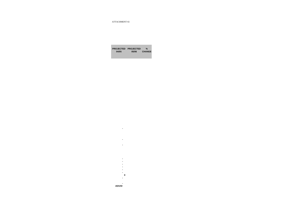ATTACHMENT #2

**PROJECTED PROJECTED %04/05 05/06 CHANGE**



**-**

**--**

**- - -**